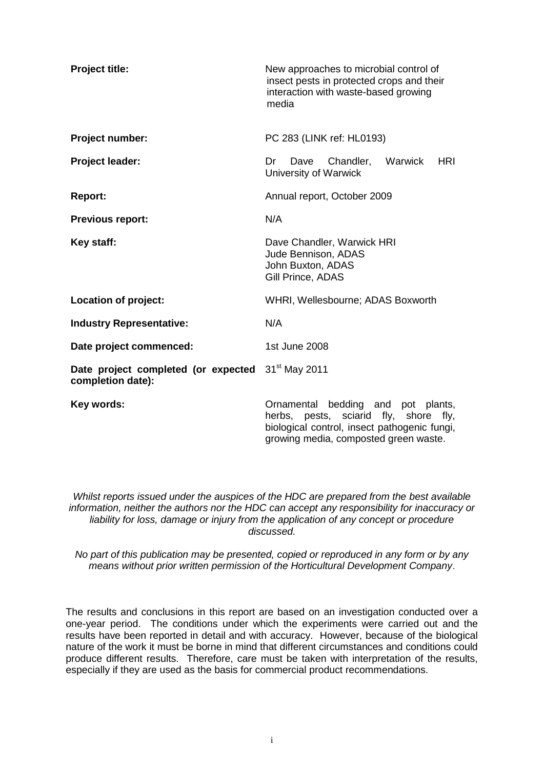| <b>Project title:</b>                                    | New approaches to microbial control of<br>insect pests in protected crops and their<br>interaction with waste-based growing<br>media                                                |
|----------------------------------------------------------|-------------------------------------------------------------------------------------------------------------------------------------------------------------------------------------|
| Project number:                                          | PC 283 (LINK ref: HL0193)                                                                                                                                                           |
| Project leader:                                          | Warwick<br><b>HRI</b><br>Dave<br>Chandler,<br>Dr<br>University of Warwick                                                                                                           |
| <b>Report:</b>                                           | Annual report, October 2009                                                                                                                                                         |
| <b>Previous report:</b>                                  | N/A                                                                                                                                                                                 |
| Key staff:                                               | Dave Chandler, Warwick HRI<br>Jude Bennison, ADAS<br>John Buxton, ADAS<br>Gill Prince, ADAS                                                                                         |
| <b>Location of project:</b>                              | WHRI, Wellesbourne; ADAS Boxworth                                                                                                                                                   |
| <b>Industry Representative:</b>                          | N/A                                                                                                                                                                                 |
| Date project commenced:                                  | 1st June 2008                                                                                                                                                                       |
| Date project completed (or expected<br>completion date): | 31 <sup>st</sup> May 2011                                                                                                                                                           |
| Key words:                                               | bedding and pot<br>Ornamental<br>plants,<br>herbs, pests, sciarid<br>fly,<br>shore<br>fly,<br>biological control, insect pathogenic fungi,<br>growing media, composted green waste. |

*Whilst reports issued under the auspices of the HDC are prepared from the best available information, neither the authors nor the HDC can accept any responsibility for inaccuracy or liability for loss, damage or injury from the application of any concept or procedure discussed.*

*No part of this publication may be presented, copied or reproduced in any form or by any means without prior written permission of the Horticultural Development Company*.

The results and conclusions in this report are based on an investigation conducted over a one-year period. The conditions under which the experiments were carried out and the results have been reported in detail and with accuracy. However, because of the biological nature of the work it must be borne in mind that different circumstances and conditions could produce different results. Therefore, care must be taken with interpretation of the results, especially if they are used as the basis for commercial product recommendations.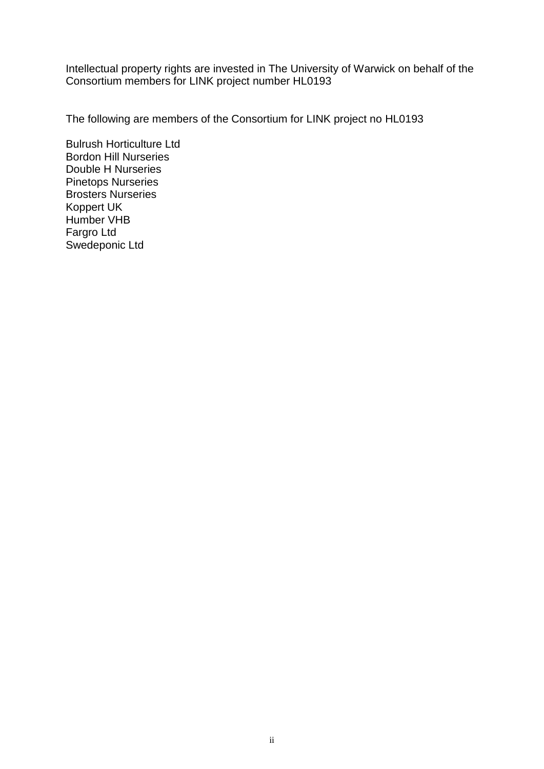Intellectual property rights are invested in The University of Warwick on behalf of the Consortium members for LINK project number HL0193

The following are members of the Consortium for LINK project no HL0193

Bulrush Horticulture Ltd Bordon Hill Nurseries Double H Nurseries Pinetops Nurseries Brosters Nurseries Koppert UK Humber VHB Fargro Ltd Swedeponic Ltd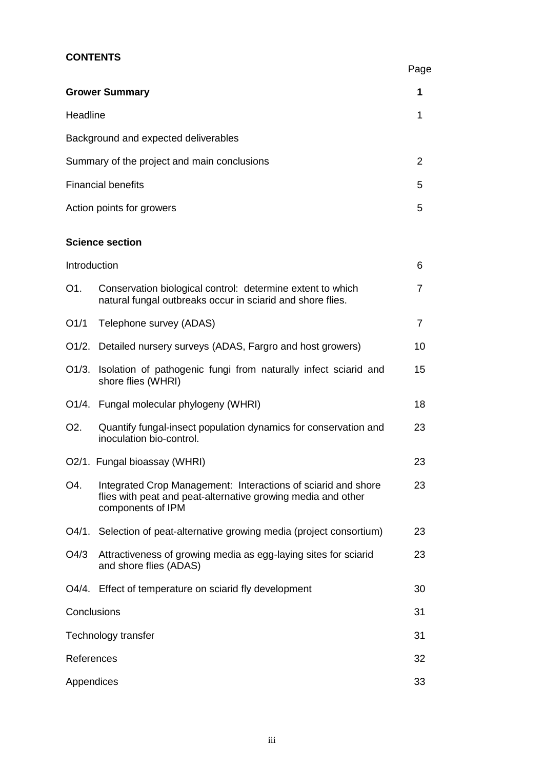# **CONTENTS**

|                  |                                                                                                                                                    | Page           |
|------------------|----------------------------------------------------------------------------------------------------------------------------------------------------|----------------|
|                  | <b>Grower Summary</b>                                                                                                                              | 1              |
| Headline         |                                                                                                                                                    | 1              |
|                  | Background and expected deliverables                                                                                                               |                |
|                  | Summary of the project and main conclusions                                                                                                        | 2              |
|                  | <b>Financial benefits</b>                                                                                                                          | 5              |
|                  | Action points for growers                                                                                                                          | 5              |
|                  | <b>Science section</b>                                                                                                                             |                |
| Introduction     |                                                                                                                                                    | 6              |
| O <sub>1</sub> . | Conservation biological control: determine extent to which<br>natural fungal outbreaks occur in sciarid and shore flies.                           | 7              |
| O1/1             | Telephone survey (ADAS)                                                                                                                            | $\overline{7}$ |
| $O1/2$ .         | Detailed nursery surveys (ADAS, Fargro and host growers)                                                                                           | 10             |
| O1/3.            | Isolation of pathogenic fungi from naturally infect sciarid and<br>shore flies (WHRI)                                                              | 15             |
|                  | O1/4. Fungal molecular phylogeny (WHRI)                                                                                                            | 18             |
| O <sub>2</sub> . | Quantify fungal-insect population dynamics for conservation and<br>inoculation bio-control.                                                        | 23             |
|                  | O2/1. Fungal bioassay (WHRI)                                                                                                                       | 23             |
| O4.              | Integrated Crop Management: Interactions of sciarid and shore<br>flies with peat and peat-alternative growing media and other<br>components of IPM | 23             |
|                  | O4/1. Selection of peat-alternative growing media (project consortium)                                                                             | 23             |
| O4/3             | Attractiveness of growing media as egg-laying sites for sciarid<br>and shore flies (ADAS)                                                          | 23             |
| O4/4.            | Effect of temperature on sciarid fly development                                                                                                   | 30             |
|                  | Conclusions                                                                                                                                        | 31             |
|                  | Technology transfer                                                                                                                                | 31             |
| References       |                                                                                                                                                    | 32             |
| Appendices       |                                                                                                                                                    | 33             |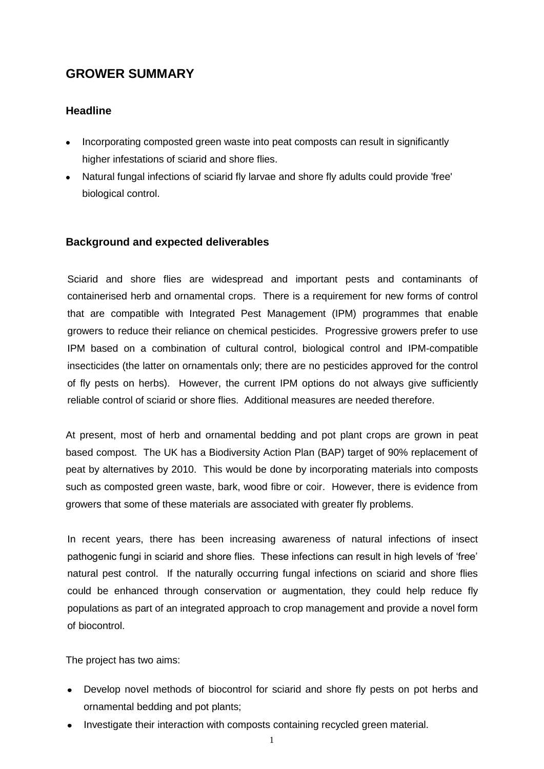# **GROWER SUMMARY**

## **Headline**

- Incorporating composted green waste into peat composts can result in significantly higher infestations of sciarid and shore flies.
- Natural fungal infections of sciarid fly larvae and shore fly adults could provide 'free' biological control.

## **Background and expected deliverables**

Sciarid and shore flies are widespread and important pests and contaminants of containerised herb and ornamental crops. There is a requirement for new forms of control that are compatible with Integrated Pest Management (IPM) programmes that enable growers to reduce their reliance on chemical pesticides. Progressive growers prefer to use IPM based on a combination of cultural control, biological control and IPM-compatible insecticides (the latter on ornamentals only; there are no pesticides approved for the control of fly pests on herbs). However, the current IPM options do not always give sufficiently reliable control of sciarid or shore flies. Additional measures are needed therefore.

At present, most of herb and ornamental bedding and pot plant crops are grown in peat based compost. The UK has a Biodiversity Action Plan (BAP) target of 90% replacement of peat by alternatives by 2010. This would be done by incorporating materials into composts such as composted green waste, bark, wood fibre or coir. However, there is evidence from growers that some of these materials are associated with greater fly problems.

In recent years, there has been increasing awareness of natural infections of insect pathogenic fungi in sciarid and shore flies. These infections can result in high levels of 'free' natural pest control. If the naturally occurring fungal infections on sciarid and shore flies could be enhanced through conservation or augmentation, they could help reduce fly populations as part of an integrated approach to crop management and provide a novel form of biocontrol.

The project has two aims:

- Develop novel methods of biocontrol for sciarid and shore fly pests on pot herbs and ornamental bedding and pot plants;
- Investigate their interaction with composts containing recycled green material.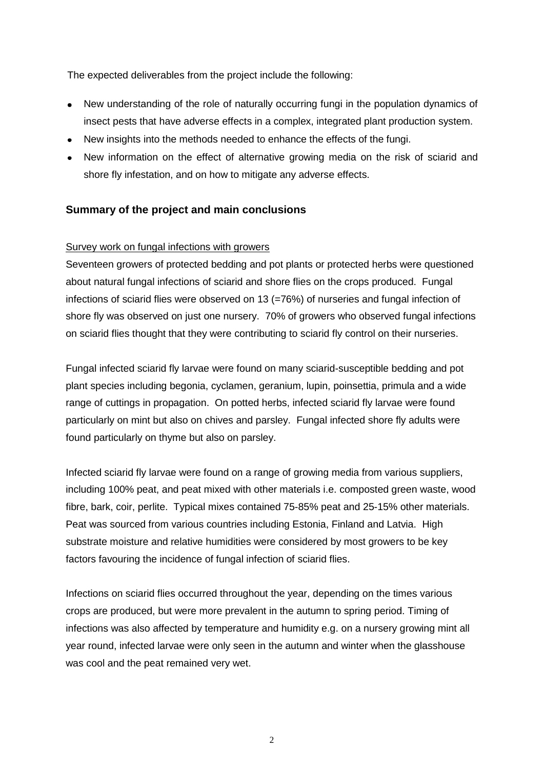The expected deliverables from the project include the following:

- New understanding of the role of naturally occurring fungi in the population dynamics of insect pests that have adverse effects in a complex, integrated plant production system.
- New insights into the methods needed to enhance the effects of the fungi.
- New information on the effect of alternative growing media on the risk of sciarid and shore fly infestation, and on how to mitigate any adverse effects.

## **Summary of the project and main conclusions**

## Survey work on fungal infections with growers

Seventeen growers of protected bedding and pot plants or protected herbs were questioned about natural fungal infections of sciarid and shore flies on the crops produced. Fungal infections of sciarid flies were observed on 13 (=76%) of nurseries and fungal infection of shore fly was observed on just one nursery. 70% of growers who observed fungal infections on sciarid flies thought that they were contributing to sciarid fly control on their nurseries.

Fungal infected sciarid fly larvae were found on many sciarid-susceptible bedding and pot plant species including begonia, cyclamen, geranium, lupin, poinsettia, primula and a wide range of cuttings in propagation. On potted herbs, infected sciarid fly larvae were found particularly on mint but also on chives and parsley. Fungal infected shore fly adults were found particularly on thyme but also on parsley.

Infected sciarid fly larvae were found on a range of growing media from various suppliers, including 100% peat, and peat mixed with other materials i.e. composted green waste, wood fibre, bark, coir, perlite. Typical mixes contained 75-85% peat and 25-15% other materials. Peat was sourced from various countries including Estonia, Finland and Latvia. High substrate moisture and relative humidities were considered by most growers to be key factors favouring the incidence of fungal infection of sciarid flies.

Infections on sciarid flies occurred throughout the year, depending on the times various crops are produced, but were more prevalent in the autumn to spring period. Timing of infections was also affected by temperature and humidity e.g. on a nursery growing mint all year round, infected larvae were only seen in the autumn and winter when the glasshouse was cool and the peat remained very wet.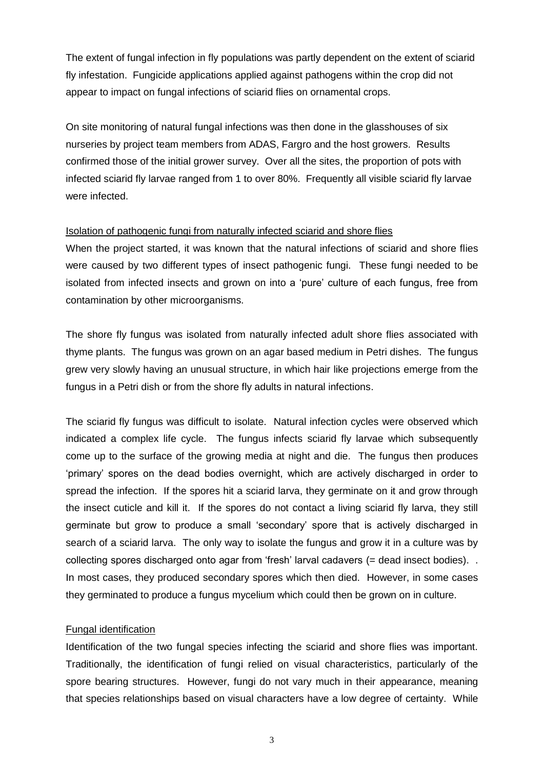The extent of fungal infection in fly populations was partly dependent on the extent of sciarid fly infestation. Fungicide applications applied against pathogens within the crop did not appear to impact on fungal infections of sciarid flies on ornamental crops.

On site monitoring of natural fungal infections was then done in the glasshouses of six nurseries by project team members from ADAS, Fargro and the host growers. Results confirmed those of the initial grower survey. Over all the sites, the proportion of pots with infected sciarid fly larvae ranged from 1 to over 80%. Frequently all visible sciarid fly larvae were infected.

#### Isolation of pathogenic fungi from naturally infected sciarid and shore flies

When the project started, it was known that the natural infections of sciarid and shore flies were caused by two different types of insect pathogenic fungi. These fungi needed to be isolated from infected insects and grown on into a 'pure' culture of each fungus, free from contamination by other microorganisms.

The shore fly fungus was isolated from naturally infected adult shore flies associated with thyme plants. The fungus was grown on an agar based medium in Petri dishes. The fungus grew very slowly having an unusual structure, in which hair like projections emerge from the fungus in a Petri dish or from the shore fly adults in natural infections.

The sciarid fly fungus was difficult to isolate. Natural infection cycles were observed which indicated a complex life cycle. The fungus infects sciarid fly larvae which subsequently come up to the surface of the growing media at night and die. The fungus then produces 'primary' spores on the dead bodies overnight, which are actively discharged in order to spread the infection. If the spores hit a sciarid larva, they germinate on it and grow through the insect cuticle and kill it. If the spores do not contact a living sciarid fly larva, they still germinate but grow to produce a small 'secondary' spore that is actively discharged in search of a sciarid larva. The only way to isolate the fungus and grow it in a culture was by collecting spores discharged onto agar from 'fresh' larval cadavers (= dead insect bodies). . In most cases, they produced secondary spores which then died. However, in some cases they germinated to produce a fungus mycelium which could then be grown on in culture.

#### Fungal identification

Identification of the two fungal species infecting the sciarid and shore flies was important. Traditionally, the identification of fungi relied on visual characteristics, particularly of the spore bearing structures. However, fungi do not vary much in their appearance, meaning that species relationships based on visual characters have a low degree of certainty. While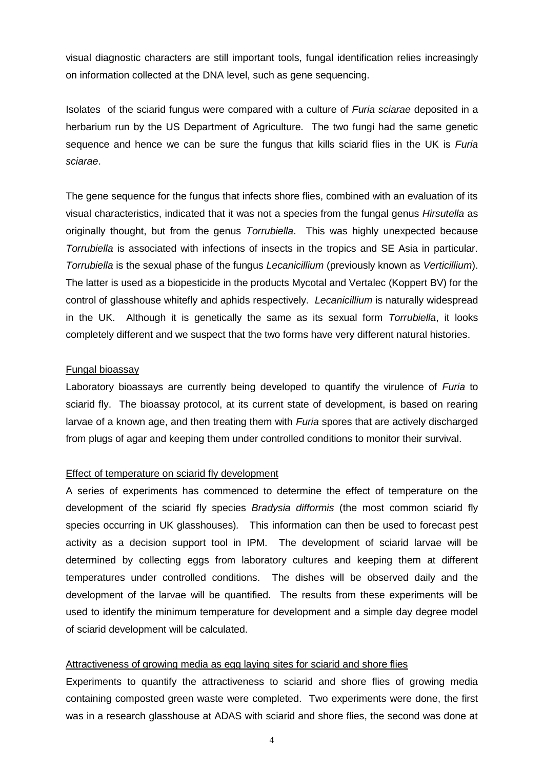visual diagnostic characters are still important tools, fungal identification relies increasingly on information collected at the DNA level, such as gene sequencing.

Isolates of the sciarid fungus were compared with a culture of *Furia sciarae* deposited in a herbarium run by the US Department of Agriculture. The two fungi had the same genetic sequence and hence we can be sure the fungus that kills sciarid flies in the UK is *Furia sciarae*.

The gene sequence for the fungus that infects shore flies, combined with an evaluation of its visual characteristics, indicated that it was not a species from the fungal genus *Hirsutella* as originally thought, but from the genus *Torrubiella*. This was highly unexpected because *Torrubiella* is associated with infections of insects in the tropics and SE Asia in particular. *Torrubiella* is the sexual phase of the fungus *Lecanicillium* (previously known as *Verticillium*). The latter is used as a biopesticide in the products Mycotal and Vertalec (Koppert BV) for the control of glasshouse whitefly and aphids respectively. *Lecanicillium* is naturally widespread in the UK. Although it is genetically the same as its sexual form *Torrubiella*, it looks completely different and we suspect that the two forms have very different natural histories.

#### Fungal bioassay

Laboratory bioassays are currently being developed to quantify the virulence of *Furia* to sciarid fly. The bioassay protocol, at its current state of development, is based on rearing larvae of a known age, and then treating them with *Furia* spores that are actively discharged from plugs of agar and keeping them under controlled conditions to monitor their survival.

#### Effect of temperature on sciarid fly development

A series of experiments has commenced to determine the effect of temperature on the development of the sciarid fly species *Bradysia difformis* (the most common sciarid fly species occurring in UK glasshouses)*.* This information can then be used to forecast pest activity as a decision support tool in IPM. The development of sciarid larvae will be determined by collecting eggs from laboratory cultures and keeping them at different temperatures under controlled conditions. The dishes will be observed daily and the development of the larvae will be quantified. The results from these experiments will be used to identify the minimum temperature for development and a simple day degree model of sciarid development will be calculated.

#### Attractiveness of growing media as egg laying sites for sciarid and shore flies

Experiments to quantify the attractiveness to sciarid and shore flies of growing media containing composted green waste were completed. Two experiments were done, the first was in a research glasshouse at ADAS with sciarid and shore flies, the second was done at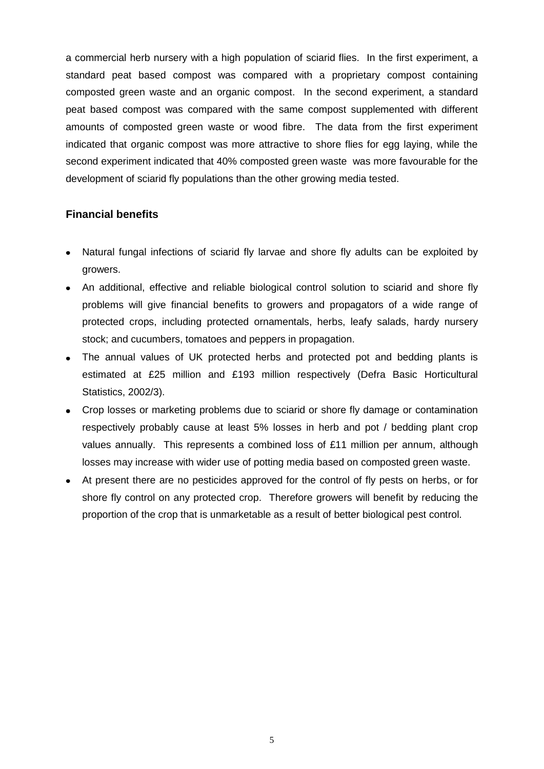a commercial herb nursery with a high population of sciarid flies. In the first experiment, a standard peat based compost was compared with a proprietary compost containing composted green waste and an organic compost. In the second experiment, a standard peat based compost was compared with the same compost supplemented with different amounts of composted green waste or wood fibre. The data from the first experiment indicated that organic compost was more attractive to shore flies for egg laying, while the second experiment indicated that 40% composted green waste was more favourable for the development of sciarid fly populations than the other growing media tested.

#### **Financial benefits**

- Natural fungal infections of sciarid fly larvae and shore fly adults can be exploited by  $\bullet$ growers.
- An additional, effective and reliable biological control solution to sciarid and shore fly problems will give financial benefits to growers and propagators of a wide range of protected crops, including protected ornamentals, herbs, leafy salads, hardy nursery stock; and cucumbers, tomatoes and peppers in propagation.
- The annual values of UK protected herbs and protected pot and bedding plants is estimated at £25 million and £193 million respectively (Defra Basic Horticultural Statistics, 2002/3).
- Crop losses or marketing problems due to sciarid or shore fly damage or contamination respectively probably cause at least 5% losses in herb and pot / bedding plant crop values annually. This represents a combined loss of £11 million per annum, although losses may increase with wider use of potting media based on composted green waste.
- At present there are no pesticides approved for the control of fly pests on herbs, or for shore fly control on any protected crop. Therefore growers will benefit by reducing the proportion of the crop that is unmarketable as a result of better biological pest control.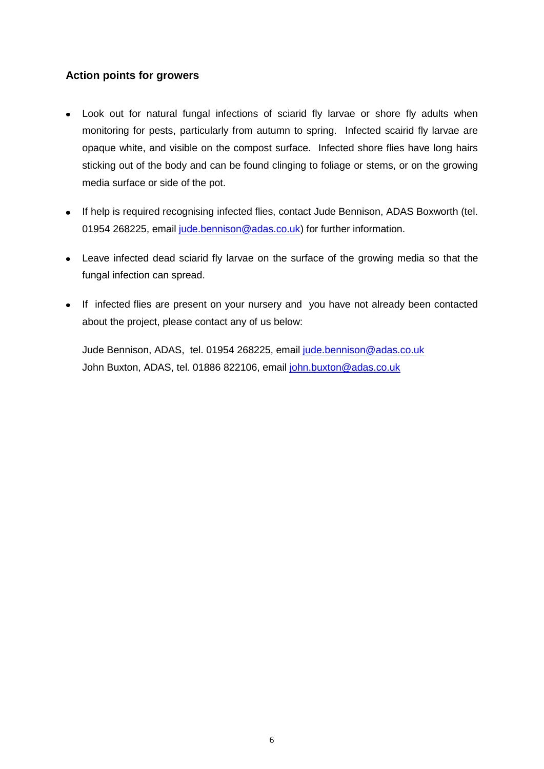## **Action points for growers**

- Look out for natural fungal infections of sciarid fly larvae or shore fly adults when monitoring for pests, particularly from autumn to spring. Infected scairid fly larvae are opaque white, and visible on the compost surface. Infected shore flies have long hairs sticking out of the body and can be found clinging to foliage or stems, or on the growing media surface or side of the pot.
- If help is required recognising infected flies, contact Jude Bennison, ADAS Boxworth (tel. 01954 268225, email [jude.bennison@adas.co.uk\)](mailto:jude.bennison@adas.co.uk) for further information.
- Leave infected dead sciarid fly larvae on the surface of the growing media so that the fungal infection can spread.
- If infected flies are present on your nursery and you have not already been contacted about the project, please contact any of us below:

Jude Bennison, ADAS, tel. 01954 268225, email [jude.bennison@adas.co.uk](mailto:jude.bennison@adas.co.uk) John Buxton, ADAS, tel. 01886 822106, email [john.buxton@adas.co.uk](mailto:john.buxton@adas.co.uk)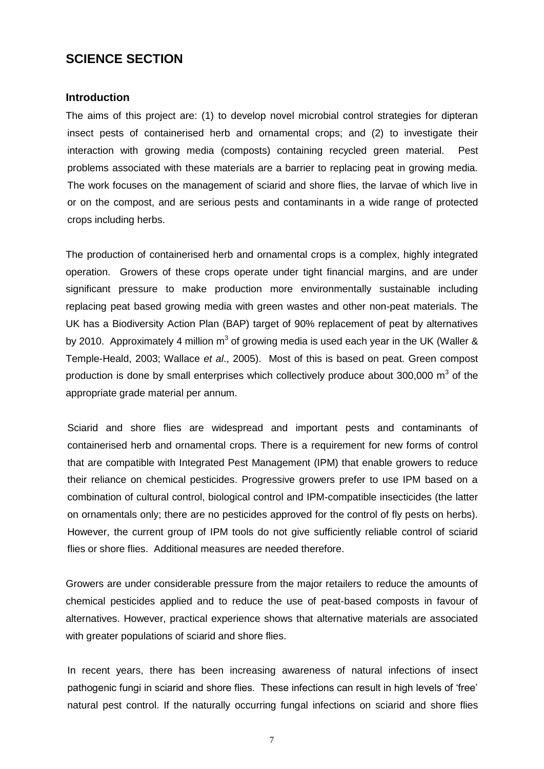## **SCIENCE SECTION**

#### **Introduction**

The aims of this project are: (1) to develop novel microbial control strategies for dipteran insect pests of containerised herb and ornamental crops; and (2) to investigate their interaction with growing media (composts) containing recycled green material. Pest problems associated with these materials are a barrier to replacing peat in growing media. The work focuses on the management of sciarid and shore flies, the larvae of which live in or on the compost, and are serious pests and contaminants in a wide range of protected crops including herbs.

The production of containerised herb and ornamental crops is a complex, highly integrated operation. Growers of these crops operate under tight financial margins, and are under significant pressure to make production more environmentally sustainable including replacing peat based growing media with green wastes and other non-peat materials. The UK has a Biodiversity Action Plan (BAP) target of 90% replacement of peat by alternatives by 2010. Approximately 4 million m<sup>3</sup> of growing media is used each year in the UK (Waller & Temple-Heald, 2003; Wallace *et al*., 2005). Most of this is based on peat. Green compost production is done by small enterprises which collectively produce about 300,000  $m^3$  of the appropriate grade material per annum.

Sciarid and shore flies are widespread and important pests and contaminants of containerised herb and ornamental crops. There is a requirement for new forms of control that are compatible with Integrated Pest Management (IPM) that enable growers to reduce their reliance on chemical pesticides. Progressive growers prefer to use IPM based on a combination of cultural control, biological control and IPM-compatible insecticides (the latter on ornamentals only; there are no pesticides approved for the control of fly pests on herbs). However, the current group of IPM tools do not give sufficiently reliable control of sciarid flies or shore flies. Additional measures are needed therefore.

Growers are under considerable pressure from the major retailers to reduce the amounts of chemical pesticides applied and to reduce the use of peat-based composts in favour of alternatives. However, practical experience shows that alternative materials are associated with greater populations of sciarid and shore flies.

In recent years, there has been increasing awareness of natural infections of insect pathogenic fungi in sciarid and shore flies. These infections can result in high levels of 'free' natural pest control. If the naturally occurring fungal infections on sciarid and shore flies

7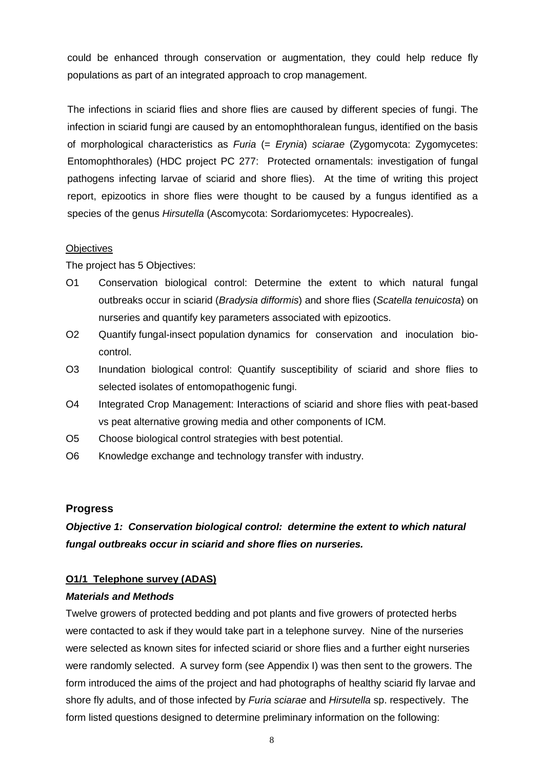could be enhanced through conservation or augmentation, they could help reduce fly populations as part of an integrated approach to crop management.

The infections in sciarid flies and shore flies are caused by different species of fungi. The infection in sciarid fungi are caused by an entomophthoralean fungus, identified on the basis of morphological characteristics as *Furia* (= *Erynia*) *sciarae* (Zygomycota: Zygomycetes: Entomophthorales) (HDC project PC 277: Protected ornamentals: investigation of fungal pathogens infecting larvae of sciarid and shore flies). At the time of writing this project report, epizootics in shore flies were thought to be caused by a fungus identified as a species of the genus *Hirsutella* (Ascomycota: Sordariomycetes: Hypocreales).

## **Objectives**

The project has 5 Objectives:

- O1 Conservation biological control: Determine the extent to which natural fungal outbreaks occur in sciarid (*Bradysia difformis*) and shore flies (*Scatella tenuicosta*) on nurseries and quantify key parameters associated with epizootics.
- O2 Quantify fungal-insect population dynamics for conservation and inoculation biocontrol.
- O3 Inundation biological control: Quantify susceptibility of sciarid and shore flies to selected isolates of entomopathogenic fungi.
- O4 Integrated Crop Management: Interactions of sciarid and shore flies with peat-based vs peat alternative growing media and other components of ICM.
- O5 Choose biological control strategies with best potential.
- O6 Knowledge exchange and technology transfer with industry.

## **Progress**

*Objective 1: Conservation biological control: determine the extent to which natural fungal outbreaks occur in sciarid and shore flies on nurseries.*

## **O1/1 Telephone survey (ADAS)**

#### *Materials and Methods*

Twelve growers of protected bedding and pot plants and five growers of protected herbs were contacted to ask if they would take part in a telephone survey. Nine of the nurseries were selected as known sites for infected sciarid or shore flies and a further eight nurseries were randomly selected. A survey form (see Appendix I) was then sent to the growers. The form introduced the aims of the project and had photographs of healthy sciarid fly larvae and shore fly adults, and of those infected by *Furia sciarae* and *Hirsutella* sp. respectively. The form listed questions designed to determine preliminary information on the following: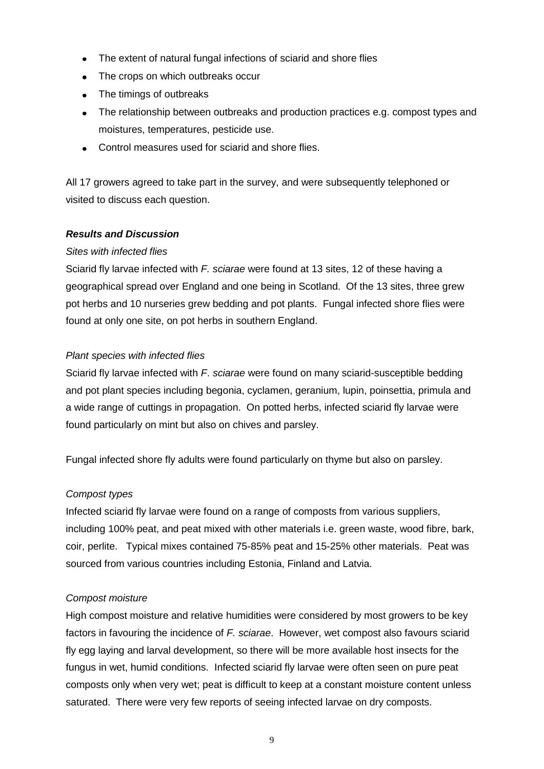- The extent of natural fungal infections of sciarid and shore flies  $\bullet$
- The crops on which outbreaks occur
- The timings of outbreaks
- The relationship between outbreaks and production practices e.g. compost types and moistures, temperatures, pesticide use.
- Control measures used for sciarid and shore flies.

All 17 growers agreed to take part in the survey, and were subsequently telephoned or visited to discuss each question.

## *Results and Discussion*

#### *Sites with infected flies*

Sciarid fly larvae infected with *F. sciarae* were found at 13 sites, 12 of these having a geographical spread over England and one being in Scotland. Of the 13 sites, three grew pot herbs and 10 nurseries grew bedding and pot plants. Fungal infected shore flies were found at only one site, on pot herbs in southern England.

#### *Plant species with infected flies*

Sciarid fly larvae infected with *F*. *sciarae* were found on many sciarid-susceptible bedding and pot plant species including begonia, cyclamen, geranium, lupin, poinsettia, primula and a wide range of cuttings in propagation. On potted herbs, infected sciarid fly larvae were found particularly on mint but also on chives and parsley.

Fungal infected shore fly adults were found particularly on thyme but also on parsley.

#### *Compost types*

Infected sciarid fly larvae were found on a range of composts from various suppliers, including 100% peat, and peat mixed with other materials i.e. green waste, wood fibre, bark, coir, perlite. Typical mixes contained 75-85% peat and 15-25% other materials. Peat was sourced from various countries including Estonia, Finland and Latvia.

#### *Compost moisture*

High compost moisture and relative humidities were considered by most growers to be key factors in favouring the incidence of *F. sciarae*. However, wet compost also favours sciarid fly egg laying and larval development, so there will be more available host insects for the fungus in wet, humid conditions. Infected sciarid fly larvae were often seen on pure peat composts only when very wet; peat is difficult to keep at a constant moisture content unless saturated. There were very few reports of seeing infected larvae on dry composts.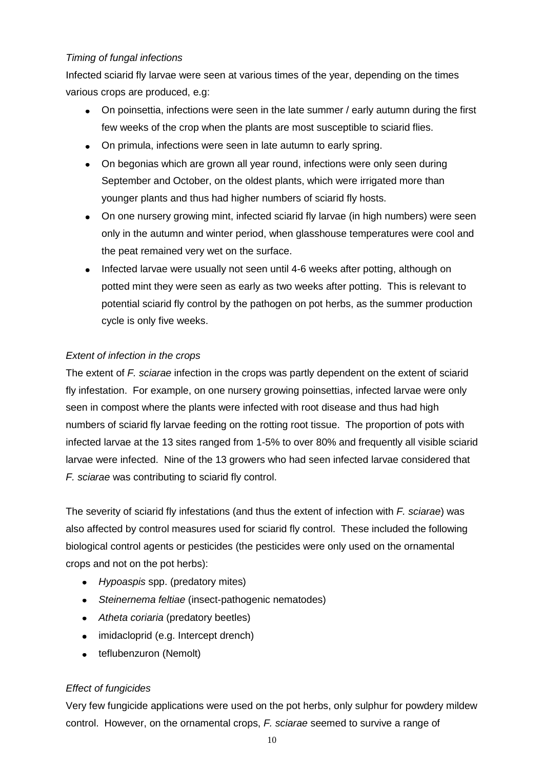## *Timing of fungal infections*

Infected sciarid fly larvae were seen at various times of the year, depending on the times various crops are produced, e.g:

- On poinsettia, infections were seen in the late summer / early autumn during the first few weeks of the crop when the plants are most susceptible to sciarid flies.
- On primula, infections were seen in late autumn to early spring.
- On begonias which are grown all year round, infections were only seen during September and October, on the oldest plants, which were irrigated more than younger plants and thus had higher numbers of sciarid fly hosts.
- On one nursery growing mint, infected sciarid fly larvae (in high numbers) were seen only in the autumn and winter period, when glasshouse temperatures were cool and the peat remained very wet on the surface.
- Infected larvae were usually not seen until 4-6 weeks after potting, although on potted mint they were seen as early as two weeks after potting. This is relevant to potential sciarid fly control by the pathogen on pot herbs, as the summer production cycle is only five weeks.

## *Extent of infection in the crops*

The extent of *F. sciarae* infection in the crops was partly dependent on the extent of sciarid fly infestation. For example, on one nursery growing poinsettias, infected larvae were only seen in compost where the plants were infected with root disease and thus had high numbers of sciarid fly larvae feeding on the rotting root tissue. The proportion of pots with infected larvae at the 13 sites ranged from 1-5% to over 80% and frequently all visible sciarid larvae were infected. Nine of the 13 growers who had seen infected larvae considered that *F. sciarae* was contributing to sciarid fly control.

The severity of sciarid fly infestations (and thus the extent of infection with *F. sciarae*) was also affected by control measures used for sciarid fly control. These included the following biological control agents or pesticides (the pesticides were only used on the ornamental crops and not on the pot herbs):

- *Hypoaspis* spp. (predatory mites)
- *Steinernema feltiae* (insect-pathogenic nematodes)
- *Atheta coriaria* (predatory beetles)
- imidacloprid (e.g. Intercept drench)
- teflubenzuron (Nemolt)

## *Effect of fungicides*

Very few fungicide applications were used on the pot herbs, only sulphur for powdery mildew control. However, on the ornamental crops, *F. sciarae* seemed to survive a range of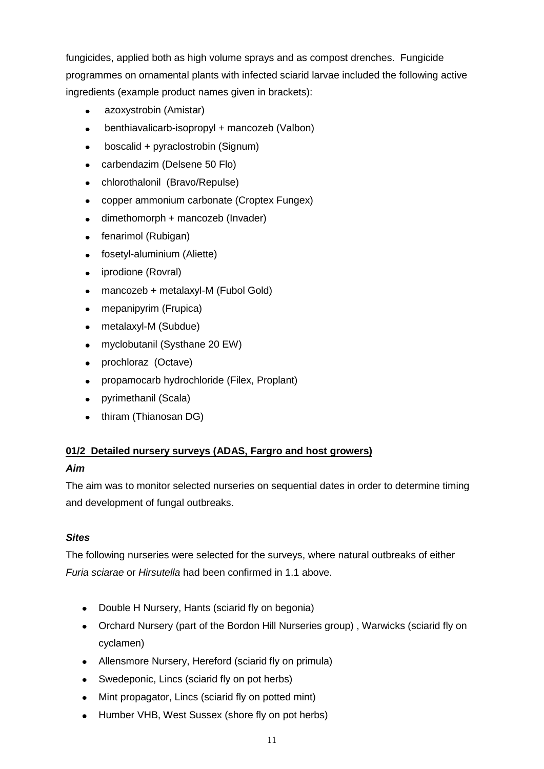fungicides, applied both as high volume sprays and as compost drenches. Fungicide programmes on ornamental plants with infected sciarid larvae included the following active ingredients (example product names given in brackets):

- azoxystrobin (Amistar)  $\bullet$
- benthiavalicarb-isopropyl + mancozeb (Valbon)
- boscalid + pyraclostrobin (Signum)
- carbendazim (Delsene 50 Flo)
- chlorothalonil (Bravo/Repulse)
- copper ammonium carbonate (Croptex Fungex)  $\bullet$
- dimethomorph + mancozeb (Invader)  $\bullet$
- fenarimol (Rubigan)
- fosetyl-aluminium (Aliette)  $\bullet$
- iprodione (Rovral)  $\bullet$
- mancozeb + metalaxyl-M (Fubol Gold)  $\bullet$
- mepanipyrim (Frupica)
- metalaxyl-M (Subdue)  $\bullet$
- myclobutanil (Systhane 20 EW)  $\bullet$
- prochloraz (Octave)  $\bullet$
- propamocarb hydrochloride (Filex, Proplant)  $\bullet$
- pyrimethanil (Scala)
- thiram (Thianosan DG)

## **01/2 Detailed nursery surveys (ADAS, Fargro and host growers)**

#### *Aim*

The aim was to monitor selected nurseries on sequential dates in order to determine timing and development of fungal outbreaks.

## *Sites*

The following nurseries were selected for the surveys, where natural outbreaks of either *Furia sciarae* or *Hirsutella* had been confirmed in 1.1 above.

- Double H Nursery, Hants (sciarid fly on begonia)
- Orchard Nursery (part of the Bordon Hill Nurseries group) , Warwicks (sciarid fly on cyclamen)
- Allensmore Nursery, Hereford (sciarid fly on primula)
- Swedeponic, Lincs (sciarid fly on pot herbs)
- Mint propagator, Lincs (sciarid fly on potted mint)
- Humber VHB, West Sussex (shore fly on pot herbs)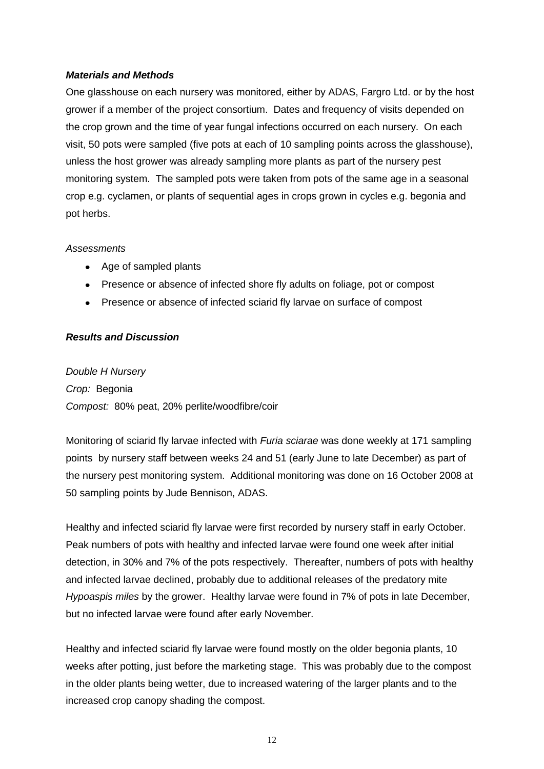## *Materials and Methods*

One glasshouse on each nursery was monitored, either by ADAS, Fargro Ltd. or by the host grower if a member of the project consortium. Dates and frequency of visits depended on the crop grown and the time of year fungal infections occurred on each nursery. On each visit, 50 pots were sampled (five pots at each of 10 sampling points across the glasshouse), unless the host grower was already sampling more plants as part of the nursery pest monitoring system. The sampled pots were taken from pots of the same age in a seasonal crop e.g. cyclamen, or plants of sequential ages in crops grown in cycles e.g. begonia and pot herbs.

#### *Assessments*

- Age of sampled plants
- Presence or absence of infected shore fly adults on foliage, pot or compost
- Presence or absence of infected sciarid fly larvae on surface of compost

## *Results and Discussion*

*Double H Nursery Crop:* Begonia *Compost:* 80% peat, 20% perlite/woodfibre/coir

Monitoring of sciarid fly larvae infected with *Furia sciarae* was done weekly at 171 sampling points by nursery staff between weeks 24 and 51 (early June to late December) as part of the nursery pest monitoring system. Additional monitoring was done on 16 October 2008 at 50 sampling points by Jude Bennison, ADAS.

Healthy and infected sciarid fly larvae were first recorded by nursery staff in early October. Peak numbers of pots with healthy and infected larvae were found one week after initial detection, in 30% and 7% of the pots respectively. Thereafter, numbers of pots with healthy and infected larvae declined, probably due to additional releases of the predatory mite *Hypoaspis miles* by the grower. Healthy larvae were found in 7% of pots in late December, but no infected larvae were found after early November.

Healthy and infected sciarid fly larvae were found mostly on the older begonia plants, 10 weeks after potting, just before the marketing stage. This was probably due to the compost in the older plants being wetter, due to increased watering of the larger plants and to the increased crop canopy shading the compost.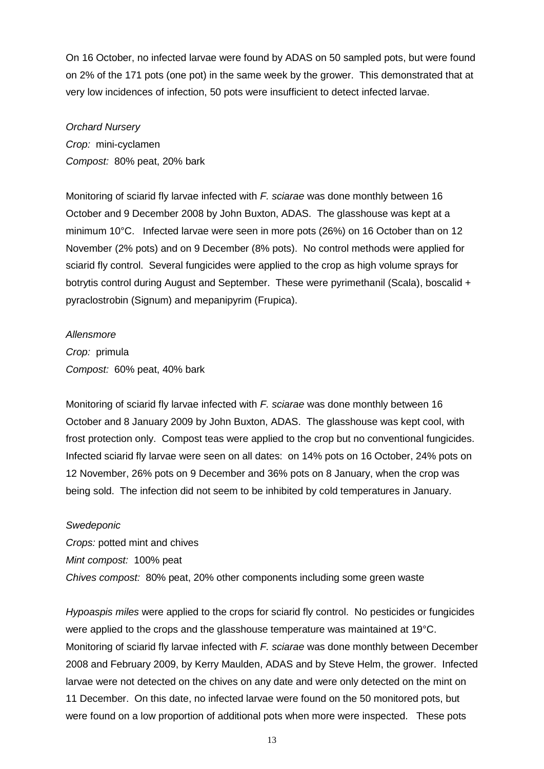On 16 October, no infected larvae were found by ADAS on 50 sampled pots, but were found on 2% of the 171 pots (one pot) in the same week by the grower. This demonstrated that at very low incidences of infection, 50 pots were insufficient to detect infected larvae.

*Orchard Nursery Crop:* mini-cyclamen *Compost:* 80% peat, 20% bark

Monitoring of sciarid fly larvae infected with *F. sciarae* was done monthly between 16 October and 9 December 2008 by John Buxton, ADAS. The glasshouse was kept at a minimum 10°C. Infected larvae were seen in more pots (26%) on 16 October than on 12 November (2% pots) and on 9 December (8% pots). No control methods were applied for sciarid fly control. Several fungicides were applied to the crop as high volume sprays for botrytis control during August and September. These were pyrimethanil (Scala), boscalid + pyraclostrobin (Signum) and mepanipyrim (Frupica).

*Allensmore*

*Crop:* primula *Compost:* 60% peat, 40% bark

Monitoring of sciarid fly larvae infected with *F. sciarae* was done monthly between 16 October and 8 January 2009 by John Buxton, ADAS. The glasshouse was kept cool, with frost protection only. Compost teas were applied to the crop but no conventional fungicides. Infected sciarid fly larvae were seen on all dates: on 14% pots on 16 October, 24% pots on 12 November, 26% pots on 9 December and 36% pots on 8 January, when the crop was being sold. The infection did not seem to be inhibited by cold temperatures in January.

*Swedeponic*

*Crops:* potted mint and chives *Mint compost:* 100% peat *Chives compost:* 80% peat, 20% other components including some green waste

*Hypoaspis miles* were applied to the crops for sciarid fly control. No pesticides or fungicides were applied to the crops and the glasshouse temperature was maintained at 19°C. Monitoring of sciarid fly larvae infected with *F. sciarae* was done monthly between December 2008 and February 2009, by Kerry Maulden, ADAS and by Steve Helm, the grower. Infected larvae were not detected on the chives on any date and were only detected on the mint on 11 December. On this date, no infected larvae were found on the 50 monitored pots, but were found on a low proportion of additional pots when more were inspected. These pots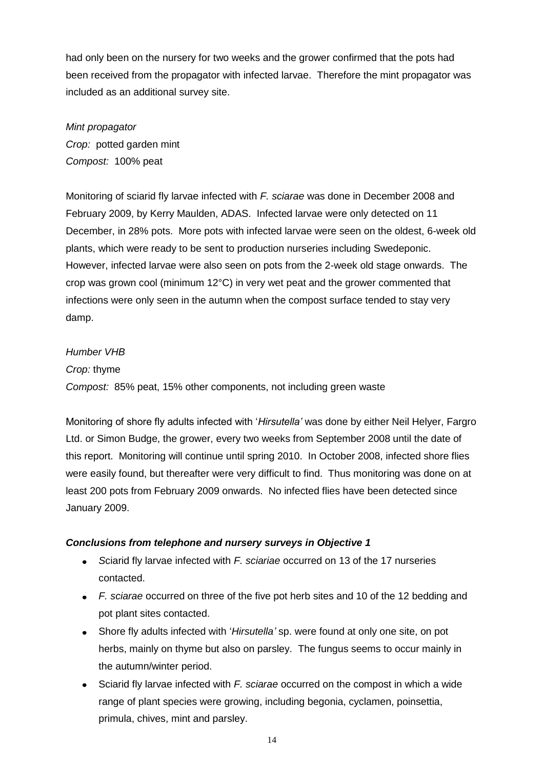had only been on the nursery for two weeks and the grower confirmed that the pots had been received from the propagator with infected larvae. Therefore the mint propagator was included as an additional survey site.

*Mint propagator Crop:* potted garden mint *Compost:* 100% peat

Monitoring of sciarid fly larvae infected with *F. sciarae* was done in December 2008 and February 2009, by Kerry Maulden, ADAS. Infected larvae were only detected on 11 December, in 28% pots. More pots with infected larvae were seen on the oldest, 6-week old plants, which were ready to be sent to production nurseries including Swedeponic. However, infected larvae were also seen on pots from the 2-week old stage onwards. The crop was grown cool (minimum 12°C) in very wet peat and the grower commented that infections were only seen in the autumn when the compost surface tended to stay very damp.

#### *Humber VHB*

*Crop:* thyme *Compost:* 85% peat, 15% other components, not including green waste

Monitoring of shore fly adults infected with '*Hirsutella'* was done by either Neil Helyer, Fargro Ltd. or Simon Budge, the grower, every two weeks from September 2008 until the date of this report. Monitoring will continue until spring 2010. In October 2008, infected shore flies were easily found, but thereafter were very difficult to find. Thus monitoring was done on at least 200 pots from February 2009 onwards. No infected flies have been detected since January 2009.

#### *Conclusions from telephone and nursery surveys in Objective 1*

- *S*ciarid fly larvae infected with *F. sciariae* occurred on 13 of the 17 nurseries contacted.
- *F. sciarae* occurred on three of the five pot herb sites and 10 of the 12 bedding and pot plant sites contacted.
- Shore fly adults infected with '*Hirsutella'* sp. were found at only one site, on pot herbs, mainly on thyme but also on parsley. The fungus seems to occur mainly in the autumn/winter period.
- $\bullet$ Sciarid fly larvae infected with *F. sciarae* occurred on the compost in which a wide range of plant species were growing, including begonia, cyclamen, poinsettia, primula, chives, mint and parsley.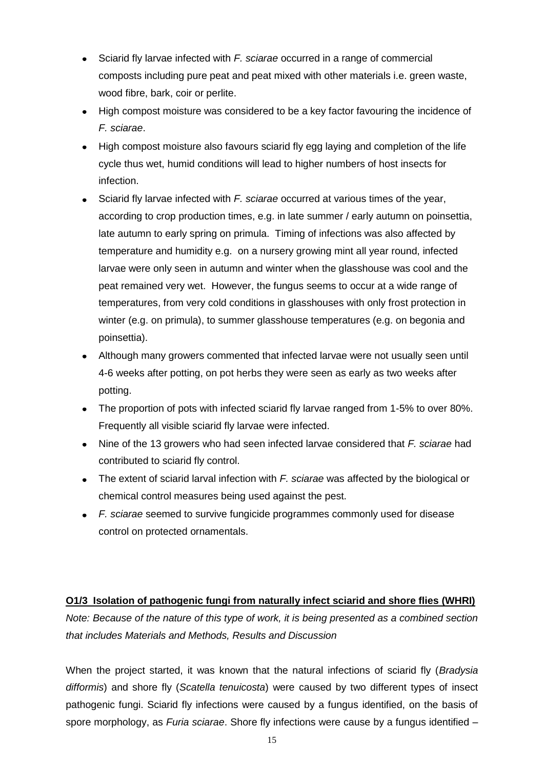- Sciarid fly larvae infected with *F. sciarae* occurred in a range of commercial composts including pure peat and peat mixed with other materials i.e. green waste, wood fibre, bark, coir or perlite.
- High compost moisture was considered to be a key factor favouring the incidence of *F. sciarae*.
- High compost moisture also favours sciarid fly egg laying and completion of the life cycle thus wet, humid conditions will lead to higher numbers of host insects for infection.
- Sciarid fly larvae infected with *F. sciarae* occurred at various times of the year, according to crop production times, e.g. in late summer / early autumn on poinsettia, late autumn to early spring on primula. Timing of infections was also affected by temperature and humidity e.g. on a nursery growing mint all year round, infected larvae were only seen in autumn and winter when the glasshouse was cool and the peat remained very wet. However, the fungus seems to occur at a wide range of temperatures, from very cold conditions in glasshouses with only frost protection in winter (e.g. on primula), to summer glasshouse temperatures (e.g. on begonia and poinsettia).
- Although many growers commented that infected larvae were not usually seen until 4-6 weeks after potting, on pot herbs they were seen as early as two weeks after potting.
- The proportion of pots with infected sciarid fly larvae ranged from 1-5% to over 80%. Frequently all visible sciarid fly larvae were infected.
- Nine of the 13 growers who had seen infected larvae considered that *F. sciarae* had contributed to sciarid fly control.
- The extent of sciarid larval infection with *F. sciarae* was affected by the biological or chemical control measures being used against the pest.
- *F. sciarae* seemed to survive fungicide programmes commonly used for disease control on protected ornamentals.

## **O1/3 Isolation of pathogenic fungi from naturally infect sciarid and shore flies (WHRI)**

*Note: Because of the nature of this type of work, it is being presented as a combined section that includes Materials and Methods, Results and Discussion*

When the project started, it was known that the natural infections of sciarid fly (*Bradysia difformis*) and shore fly (*Scatella tenuicosta*) were caused by two different types of insect pathogenic fungi. Sciarid fly infections were caused by a fungus identified, on the basis of spore morphology, as *Furia sciarae*. Shore fly infections were cause by a fungus identified –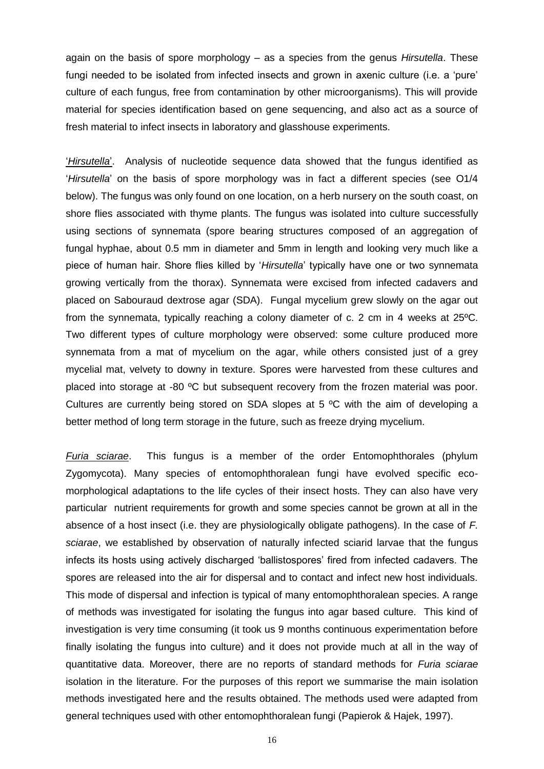again on the basis of spore morphology – as a species from the genus *Hirsutella*. These fungi needed to be isolated from infected insects and grown in axenic culture (i.e. a 'pure' culture of each fungus, free from contamination by other microorganisms). This will provide material for species identification based on gene sequencing, and also act as a source of fresh material to infect insects in laboratory and glasshouse experiments.

'*Hirsutella*'. Analysis of nucleotide sequence data showed that the fungus identified as '*Hirsutella*' on the basis of spore morphology was in fact a different species (see O1/4 below). The fungus was only found on one location, on a herb nursery on the south coast, on shore flies associated with thyme plants. The fungus was isolated into culture successfully using sections of synnemata (spore bearing structures composed of an aggregation of fungal hyphae, about 0.5 mm in diameter and 5mm in length and looking very much like a piece of human hair. Shore flies killed by '*Hirsutella*' typically have one or two synnemata growing vertically from the thorax). Synnemata were excised from infected cadavers and placed on Sabouraud dextrose agar (SDA). Fungal mycelium grew slowly on the agar out from the synnemata, typically reaching a colony diameter of c. 2 cm in 4 weeks at 25ºC. Two different types of culture morphology were observed: some culture produced more synnemata from a mat of mycelium on the agar, while others consisted just of a grey mycelial mat, velvety to downy in texture. Spores were harvested from these cultures and placed into storage at -80 ºC but subsequent recovery from the frozen material was poor. Cultures are currently being stored on SDA slopes at 5 ºC with the aim of developing a better method of long term storage in the future, such as freeze drying mycelium.

*Furia sciarae*. This fungus is a member of the order Entomophthorales (phylum Zygomycota). Many species of entomophthoralean fungi have evolved specific ecomorphological adaptations to the life cycles of their insect hosts. They can also have very particular nutrient requirements for growth and some species cannot be grown at all in the absence of a host insect (i.e. they are physiologically obligate pathogens). In the case of *F. sciarae*, we established by observation of naturally infected sciarid larvae that the fungus infects its hosts using actively discharged 'ballistospores' fired from infected cadavers. The spores are released into the air for dispersal and to contact and infect new host individuals. This mode of dispersal and infection is typical of many entomophthoralean species. A range of methods was investigated for isolating the fungus into agar based culture. This kind of investigation is very time consuming (it took us 9 months continuous experimentation before finally isolating the fungus into culture) and it does not provide much at all in the way of quantitative data. Moreover, there are no reports of standard methods for *Furia sciarae* isolation in the literature. For the purposes of this report we summarise the main isolation methods investigated here and the results obtained. The methods used were adapted from general techniques used with other entomophthoralean fungi (Papierok & Hajek, 1997).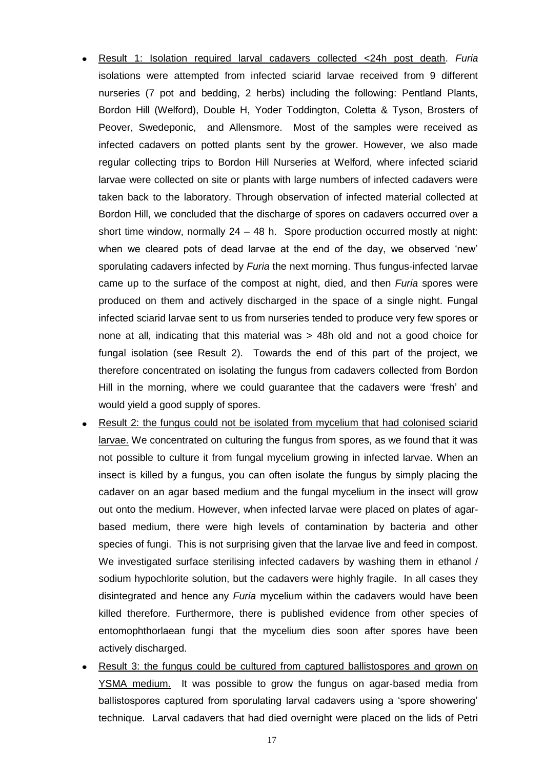- Result 1: Isolation required larval cadavers collected <24h post death. *Furia* isolations were attempted from infected sciarid larvae received from 9 different nurseries (7 pot and bedding, 2 herbs) including the following: Pentland Plants, Bordon Hill (Welford), Double H, Yoder Toddington, Coletta & Tyson, Brosters of Peover, Swedeponic, and Allensmore. Most of the samples were received as infected cadavers on potted plants sent by the grower. However, we also made regular collecting trips to Bordon Hill Nurseries at Welford, where infected sciarid larvae were collected on site or plants with large numbers of infected cadavers were taken back to the laboratory. Through observation of infected material collected at Bordon Hill, we concluded that the discharge of spores on cadavers occurred over a short time window, normally  $24 - 48$  h. Spore production occurred mostly at night: when we cleared pots of dead larvae at the end of the day, we observed 'new' sporulating cadavers infected by *Furia* the next morning. Thus fungus-infected larvae came up to the surface of the compost at night, died, and then *Furia* spores were produced on them and actively discharged in the space of a single night. Fungal infected sciarid larvae sent to us from nurseries tended to produce very few spores or none at all, indicating that this material was > 48h old and not a good choice for fungal isolation (see Result 2). Towards the end of this part of the project, we therefore concentrated on isolating the fungus from cadavers collected from Bordon Hill in the morning, where we could guarantee that the cadavers were 'fresh' and would yield a good supply of spores.
- Result 2: the fungus could not be isolated from mycelium that had colonised sciarid larvae. We concentrated on culturing the fungus from spores, as we found that it was not possible to culture it from fungal mycelium growing in infected larvae. When an insect is killed by a fungus, you can often isolate the fungus by simply placing the cadaver on an agar based medium and the fungal mycelium in the insect will grow out onto the medium. However, when infected larvae were placed on plates of agarbased medium, there were high levels of contamination by bacteria and other species of fungi. This is not surprising given that the larvae live and feed in compost. We investigated surface sterilising infected cadavers by washing them in ethanol / sodium hypochlorite solution, but the cadavers were highly fragile. In all cases they disintegrated and hence any *Furia* mycelium within the cadavers would have been killed therefore. Furthermore, there is published evidence from other species of entomophthorlaean fungi that the mycelium dies soon after spores have been actively discharged.
- Result 3: the fungus could be cultured from captured ballistospores and grown on YSMA medium. It was possible to grow the fungus on agar-based media from ballistospores captured from sporulating larval cadavers using a 'spore showering' technique. Larval cadavers that had died overnight were placed on the lids of Petri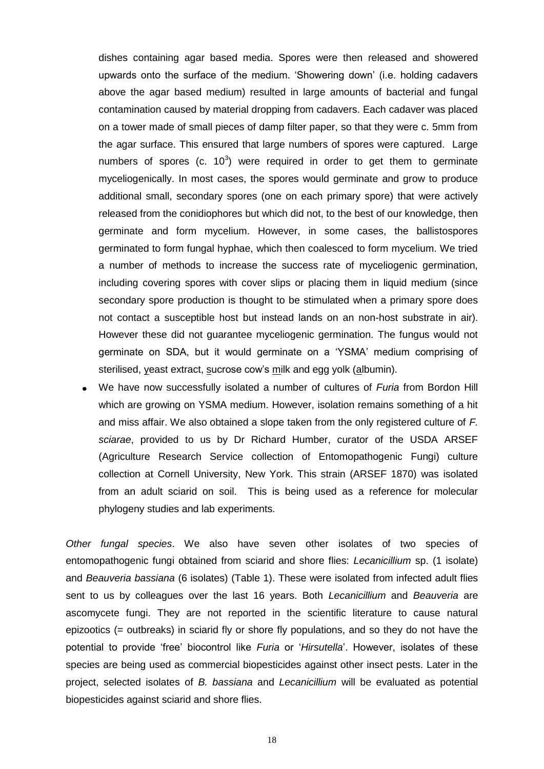dishes containing agar based media. Spores were then released and showered upwards onto the surface of the medium. 'Showering down' (i.e. holding cadavers above the agar based medium) resulted in large amounts of bacterial and fungal contamination caused by material dropping from cadavers. Each cadaver was placed on a tower made of small pieces of damp filter paper, so that they were c. 5mm from the agar surface. This ensured that large numbers of spores were captured. Large numbers of spores (c.  $10^3$ ) were required in order to get them to germinate myceliogenically. In most cases, the spores would germinate and grow to produce additional small, secondary spores (one on each primary spore) that were actively released from the conidiophores but which did not, to the best of our knowledge, then germinate and form mycelium. However, in some cases, the ballistospores germinated to form fungal hyphae, which then coalesced to form mycelium. We tried a number of methods to increase the success rate of myceliogenic germination, including covering spores with cover slips or placing them in liquid medium (since secondary spore production is thought to be stimulated when a primary spore does not contact a susceptible host but instead lands on an non-host substrate in air). However these did not guarantee myceliogenic germination. The fungus would not germinate on SDA, but it would germinate on a 'YSMA' medium comprising of sterilised, yeast extract, sucrose cow's milk and egg yolk (albumin).

We have now successfully isolated a number of cultures of *Furia* from Bordon Hill which are growing on YSMA medium. However, isolation remains something of a hit and miss affair. We also obtained a slope taken from the only registered culture of *F. sciarae*, provided to us by Dr Richard Humber, curator of the USDA ARSEF (Agriculture Research Service collection of Entomopathogenic Fungi) culture collection at Cornell University, New York. This strain (ARSEF 1870) was isolated from an adult sciarid on soil. This is being used as a reference for molecular phylogeny studies and lab experiments.

*Other fungal species*. We also have seven other isolates of two species of entomopathogenic fungi obtained from sciarid and shore flies: *Lecanicillium* sp. (1 isolate) and *Beauveria bassiana* (6 isolates) (Table 1). These were isolated from infected adult flies sent to us by colleagues over the last 16 years. Both *Lecanicillium* and *Beauveria* are ascomycete fungi. They are not reported in the scientific literature to cause natural epizootics (= outbreaks) in sciarid fly or shore fly populations, and so they do not have the potential to provide 'free' biocontrol like *Furia* or '*Hirsutella*'. However, isolates of these species are being used as commercial biopesticides against other insect pests. Later in the project, selected isolates of *B. bassiana* and *Lecanicillium* will be evaluated as potential biopesticides against sciarid and shore flies.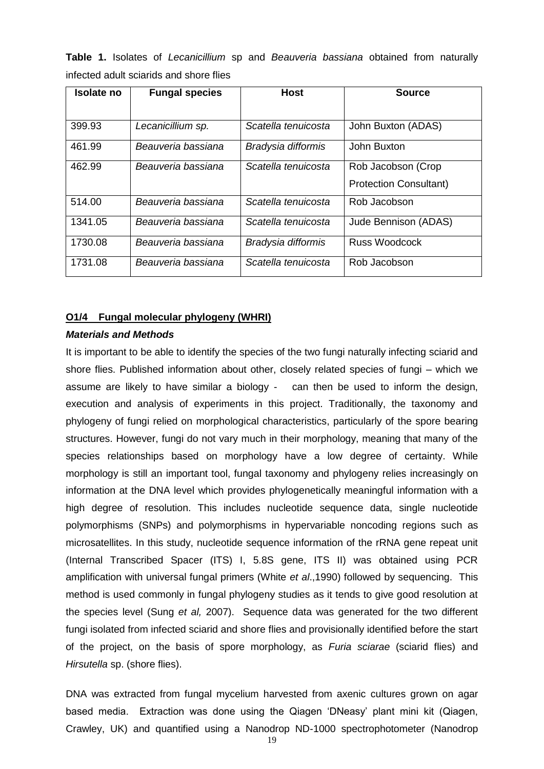**Table 1.** Isolates of *Lecanicillium* sp and *Beauveria bassiana* obtained from naturally infected adult sciarids and shore flies

| Isolate no | <b>Fungal species</b> | <b>Host</b>         | <b>Source</b>                                       |
|------------|-----------------------|---------------------|-----------------------------------------------------|
| 399.93     | Lecanicillium sp.     | Scatella tenuicosta | John Buxton (ADAS)                                  |
| 461.99     | Beauveria bassiana    | Bradysia difformis  | John Buxton                                         |
| 462.99     | Beauveria bassiana    | Scatella tenuicosta | Rob Jacobson (Crop<br><b>Protection Consultant)</b> |
| 514.00     | Beauveria bassiana    | Scatella tenuicosta | Rob Jacobson                                        |
| 1341.05    | Beauveria bassiana    | Scatella tenuicosta | Jude Bennison (ADAS)                                |
| 1730.08    | Beauveria bassiana    | Bradysia difformis  | Russ Woodcock                                       |
| 1731.08    | Beauveria bassiana    | Scatella tenuicosta | Rob Jacobson                                        |

#### **O1/4 Fungal molecular phylogeny (WHRI)**

#### *Materials and Methods*

It is important to be able to identify the species of the two fungi naturally infecting sciarid and shore flies. Published information about other, closely related species of fungi – which we assume are likely to have similar a biology - can then be used to inform the design, execution and analysis of experiments in this project. Traditionally, the taxonomy and phylogeny of fungi relied on morphological characteristics, particularly of the spore bearing structures. However, fungi do not vary much in their morphology, meaning that many of the species relationships based on morphology have a low degree of certainty. While morphology is still an important tool, fungal taxonomy and phylogeny relies increasingly on information at the DNA level which provides phylogenetically meaningful information with a high degree of resolution. This includes nucleotide sequence data, single nucleotide polymorphisms (SNPs) and polymorphisms in hypervariable noncoding regions such as microsatellites. In this study, nucleotide sequence information of the rRNA gene repeat unit (Internal Transcribed Spacer (ITS) I, 5.8S gene, ITS II) was obtained using PCR amplification with universal fungal primers (White *et al*.,1990) followed by sequencing. This method is used commonly in fungal phylogeny studies as it tends to give good resolution at the species level (Sung *et al,* 2007). Sequence data was generated for the two different fungi isolated from infected sciarid and shore flies and provisionally identified before the start of the project, on the basis of spore morphology, as *Furia sciarae* (sciarid flies) and *Hirsutella* sp. (shore flies).

DNA was extracted from fungal mycelium harvested from axenic cultures grown on agar based media. Extraction was done using the Qiagen 'DNeasy' plant mini kit (Qiagen, Crawley, UK) and quantified using a Nanodrop ND-1000 spectrophotometer (Nanodrop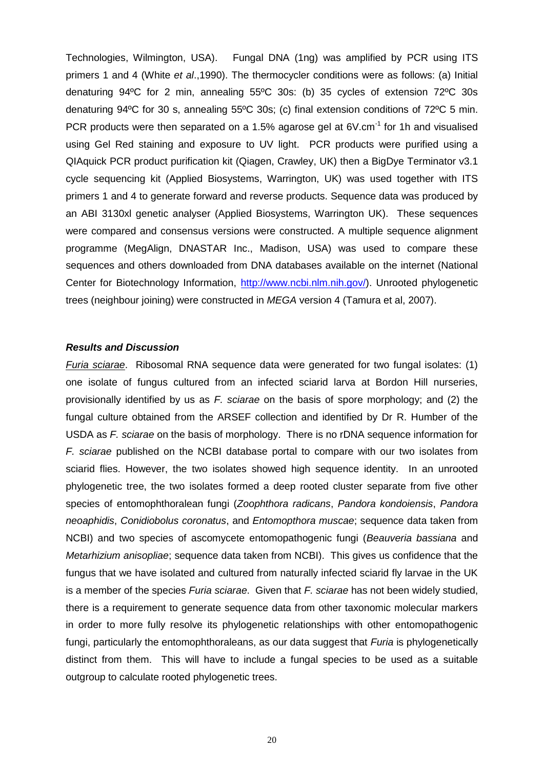Technologies, Wilmington, USA). Fungal DNA (1ng) was amplified by PCR using ITS primers 1 and 4 (White *et al*.,1990). The thermocycler conditions were as follows: (a) Initial denaturing 94ºC for 2 min, annealing 55ºC 30s: (b) 35 cycles of extension 72ºC 30s denaturing 94ºC for 30 s, annealing 55ºC 30s; (c) final extension conditions of 72ºC 5 min. PCR products were then separated on a 1.5% agarose gel at  $6V.cm^{-1}$  for 1h and visualised using Gel Red staining and exposure to UV light. PCR products were purified using a QIAquick PCR product purification kit (Qiagen, Crawley, UK) then a BigDye Terminator v3.1 cycle sequencing kit (Applied Biosystems, Warrington, UK) was used together with ITS primers 1 and 4 to generate forward and reverse products. Sequence data was produced by an ABI 3130xl genetic analyser (Applied Biosystems, Warrington UK). These sequences were compared and consensus versions were constructed. A multiple sequence alignment programme (MegAlign, DNASTAR Inc., Madison, USA) was used to compare these sequences and others downloaded from DNA databases available on the internet (National Center for Biotechnology Information, [http://www.ncbi.nlm.nih.gov/\)](http://www.ncbi.nlm.nih.gov/). Unrooted phylogenetic trees (neighbour joining) were constructed in *MEGA* version 4 (Tamura et al, 2007).

#### *Results and Discussion*

*Furia sciarae*. Ribosomal RNA sequence data were generated for two fungal isolates: (1) one isolate of fungus cultured from an infected sciarid larva at Bordon Hill nurseries, provisionally identified by us as *F. sciarae* on the basis of spore morphology; and (2) the fungal culture obtained from the ARSEF collection and identified by Dr R. Humber of the USDA as *F. sciarae* on the basis of morphology. There is no rDNA sequence information for *F. sciarae* published on the NCBI database portal to compare with our two isolates from sciarid flies. However, the two isolates showed high sequence identity. In an unrooted phylogenetic tree, the two isolates formed a deep rooted cluster separate from five other species of entomophthoralean fungi (*Zoophthora radicans*, *Pandora kondoiensis*, *Pandora neoaphidis*, *Conidiobolus coronatus*, and *Entomopthora muscae*; sequence data taken from NCBI) and two species of ascomycete entomopathogenic fungi (*Beauveria bassiana* and *Metarhizium anisopliae*; sequence data taken from NCBI). This gives us confidence that the fungus that we have isolated and cultured from naturally infected sciarid fly larvae in the UK is a member of the species *Furia sciarae*. Given that *F. sciarae* has not been widely studied, there is a requirement to generate sequence data from other taxonomic molecular markers in order to more fully resolve its phylogenetic relationships with other entomopathogenic fungi, particularly the entomophthoraleans, as our data suggest that *Furia* is phylogenetically distinct from them. This will have to include a fungal species to be used as a suitable outgroup to calculate rooted phylogenetic trees.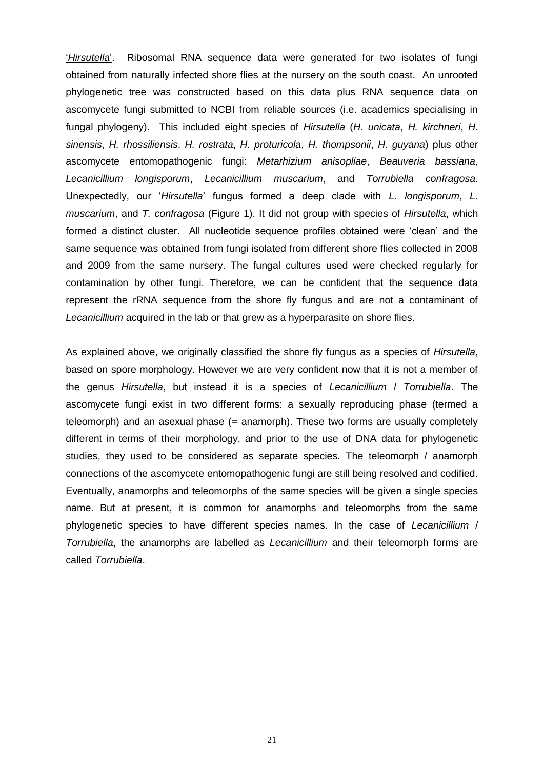'*Hirsutella*'. Ribosomal RNA sequence data were generated for two isolates of fungi obtained from naturally infected shore flies at the nursery on the south coast. An unrooted phylogenetic tree was constructed based on this data plus RNA sequence data on ascomycete fungi submitted to NCBI from reliable sources (i.e. academics specialising in fungal phylogeny). This included eight species of *Hirsutella* (*H. unicata*, *H. kirchneri*, *H. sinensis*, *H. rhossiliensis*. *H. rostrata*, *H. proturicola*, *H. thompsonii*, *H. guyana*) plus other ascomycete entomopathogenic fungi: *Metarhizium anisopliae*, *Beauveria bassiana*, *Lecanicillium longisporum*, *Lecanicillium muscarium*, and *Torrubiella confragosa*. Unexpectedly, our '*Hirsutella*' fungus formed a deep clade with *L. longisporum*, *L. muscarium*, and *T. confragosa* (Figure 1). It did not group with species of *Hirsutella*, which formed a distinct cluster. All nucleotide sequence profiles obtained were 'clean' and the same sequence was obtained from fungi isolated from different shore flies collected in 2008 and 2009 from the same nursery. The fungal cultures used were checked regularly for contamination by other fungi. Therefore, we can be confident that the sequence data represent the rRNA sequence from the shore fly fungus and are not a contaminant of *Lecanicillium* acquired in the lab or that grew as a hyperparasite on shore flies.

As explained above, we originally classified the shore fly fungus as a species of *Hirsutella*, based on spore morphology. However we are very confident now that it is not a member of the genus *Hirsutella*, but instead it is a species of *Lecanicillium* / *Torrubiella*. The ascomycete fungi exist in two different forms: a sexually reproducing phase (termed a teleomorph) and an asexual phase (= anamorph). These two forms are usually completely different in terms of their morphology, and prior to the use of DNA data for phylogenetic studies, they used to be considered as separate species. The teleomorph / anamorph connections of the ascomycete entomopathogenic fungi are still being resolved and codified. Eventually, anamorphs and teleomorphs of the same species will be given a single species name. But at present, it is common for anamorphs and teleomorphs from the same phylogenetic species to have different species names. In the case of *Lecanicillium* / *Torrubiella*, the anamorphs are labelled as *Lecanicillium* and their teleomorph forms are called *Torrubiella*.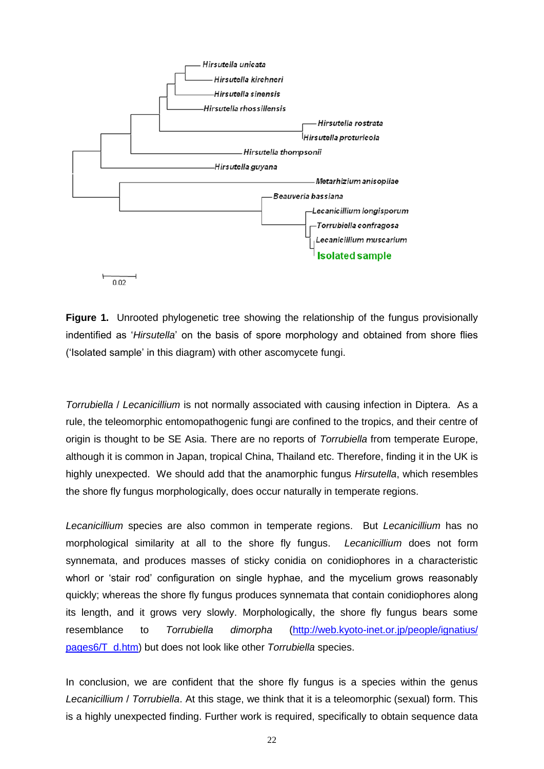

**Figure 1.** Unrooted phylogenetic tree showing the relationship of the fungus provisionally indentified as '*Hirsutella*' on the basis of spore morphology and obtained from shore flies ('Isolated sample' in this diagram) with other ascomycete fungi.

*Torrubiella* / *Lecanicillium* is not normally associated with causing infection in Diptera. As a rule, the teleomorphic entomopathogenic fungi are confined to the tropics, and their centre of origin is thought to be SE Asia. There are no reports of *Torrubiella* from temperate Europe, although it is common in Japan, tropical China, Thailand etc. Therefore, finding it in the UK is highly unexpected. We should add that the anamorphic fungus *Hirsutella*, which resembles the shore fly fungus morphologically, does occur naturally in temperate regions.

*Lecanicillium* species are also common in temperate regions. But *Lecanicillium* has no morphological similarity at all to the shore fly fungus. *Lecanicillium* does not form synnemata, and produces masses of sticky conidia on conidiophores in a characteristic whorl or 'stair rod' configuration on single hyphae, and the mycelium grows reasonably quickly; whereas the shore fly fungus produces synnemata that contain conidiophores along its length, and it grows very slowly. Morphologically, the shore fly fungus bears some resemblance to *Torrubiella dimorpha* [\(http://web.kyoto-inet.or.jp/people/ignatius/](http://web.kyoto-inet.or.jp/people/ignatius/%20pages6/T_d.htm)  [pages6/T\\_d.htm\)](http://web.kyoto-inet.or.jp/people/ignatius/%20pages6/T_d.htm) but does not look like other *Torrubiella* species.

In conclusion, we are confident that the shore fly fungus is a species within the genus *Lecanicillium* / *Torrubiella*. At this stage, we think that it is a teleomorphic (sexual) form. This is a highly unexpected finding. Further work is required, specifically to obtain sequence data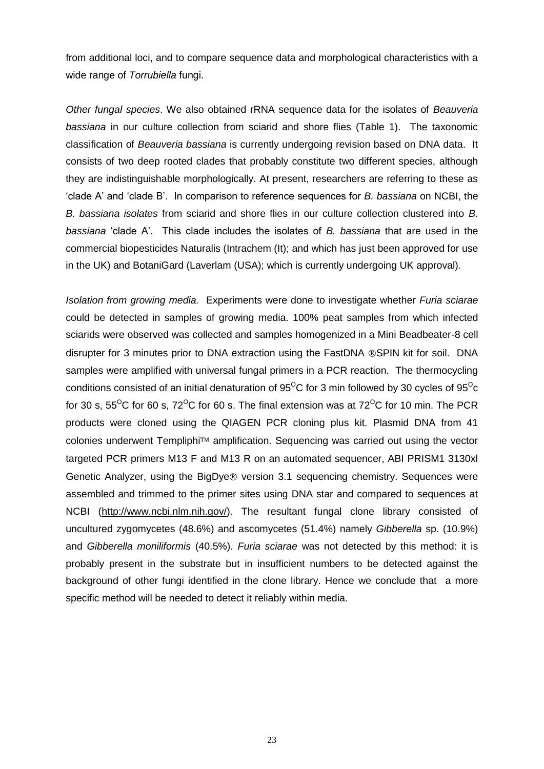from additional loci, and to compare sequence data and morphological characteristics with a wide range of *Torrubiella* fungi.

*Other fungal species*. We also obtained rRNA sequence data for the isolates of *Beauveria bassiana* in our culture collection from sciarid and shore flies (Table 1). The taxonomic classification of *Beauveria bassiana* is currently undergoing revision based on DNA data. It consists of two deep rooted clades that probably constitute two different species, although they are indistinguishable morphologically. At present, researchers are referring to these as 'clade A' and 'clade B'. In comparison to reference sequences for *B. bassiana* on NCBI, the *B. bassiana isolates* from sciarid and shore flies in our culture collection clustered into *B. bassiana* 'clade A'. This clade includes the isolates of *B. bassiana* that are used in the commercial biopesticides Naturalis (Intrachem (It); and which has just been approved for use in the UK) and BotaniGard (Laverlam (USA); which is currently undergoing UK approval).

*Isolation from growing media.* Experiments were done to investigate whether *Furia sciarae* could be detected in samples of growing media. 100% peat samples from which infected sciarids were observed was collected and samples homogenized in a Mini Beadbeater-8 cell disrupter for 3 minutes prior to DNA extraction using the FastDNA ®SPIN kit for soil. DNA samples were amplified with universal fungal primers in a PCR reaction. The thermocycling conditions consisted of an initial denaturation of  $95^{\circ}$ C for 3 min followed by 30 cycles of  $95^{\circ}$ c for 30 s,  $55^{\circ}$ C for 60 s,  $72^{\circ}$ C for 60 s. The final extension was at  $72^{\circ}$ C for 10 min. The PCR products were cloned using the QIAGEN PCR cloning plus kit. Plasmid DNA from 41 colonies underwent Templiphi $T^M$  amplification. Sequencing was carried out using the vector targeted PCR primers M13 F and M13 R on an automated sequencer, ABI PRISM1 3130xl Genetic Analyzer, using the BigDye<sup>®</sup> version 3.1 sequencing chemistry. Sequences were assembled and trimmed to the primer sites using DNA star and compared to sequences at NCBI [\(http://www.ncbi.nlm.nih.gov/\)](http://www.ncbi.nlm.nih.gov/). The resultant fungal clone library consisted of uncultured zygomycetes (48.6%) and ascomycetes (51.4%) namely *Gibberella* sp. (10.9%) and *Gibberella moniliformis* (40.5%). *Furia sciarae* was not detected by this method: it is probably present in the substrate but in insufficient numbers to be detected against the background of other fungi identified in the clone library. Hence we conclude that a more specific method will be needed to detect it reliably within media.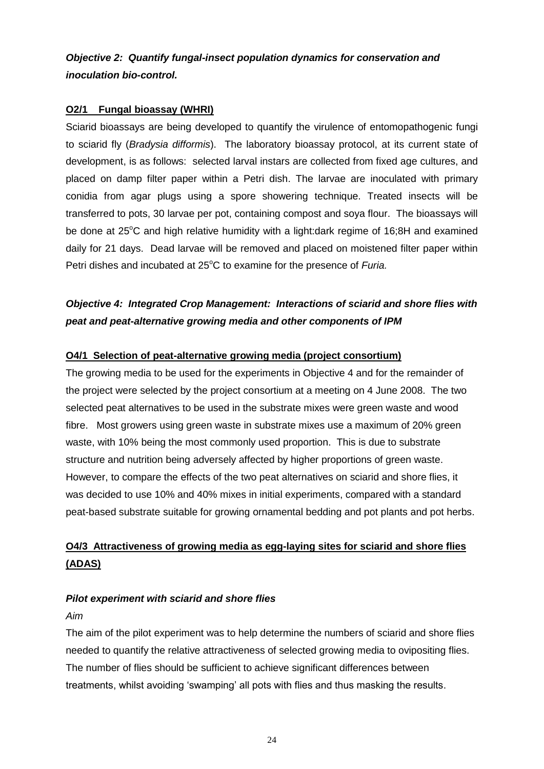*Objective 2: Quantify fungal-insect population dynamics for conservation and inoculation bio-control.*

## **O2/1 Fungal bioassay (WHRI)**

Sciarid bioassays are being developed to quantify the virulence of entomopathogenic fungi to sciarid fly (*Bradysia difformis*). The laboratory bioassay protocol, at its current state of development, is as follows: selected larval instars are collected from fixed age cultures, and placed on damp filter paper within a Petri dish. The larvae are inoculated with primary conidia from agar plugs using a spore showering technique. Treated insects will be transferred to pots, 30 larvae per pot, containing compost and soya flour. The bioassays will be done at  $25^{\circ}$ C and high relative humidity with a light:dark regime of 16;8H and examined daily for 21 days. Dead larvae will be removed and placed on moistened filter paper within Petri dishes and incubated at 25<sup>°</sup>C to examine for the presence of *Furia*.

## *Objective 4: Integrated Crop Management: Interactions of sciarid and shore flies with peat and peat-alternative growing media and other components of IPM*

## **O4/1 Selection of peat-alternative growing media (project consortium)**

The growing media to be used for the experiments in Objective 4 and for the remainder of the project were selected by the project consortium at a meeting on 4 June 2008. The two selected peat alternatives to be used in the substrate mixes were green waste and wood fibre. Most growers using green waste in substrate mixes use a maximum of 20% green waste, with 10% being the most commonly used proportion. This is due to substrate structure and nutrition being adversely affected by higher proportions of green waste. However, to compare the effects of the two peat alternatives on sciarid and shore flies, it was decided to use 10% and 40% mixes in initial experiments, compared with a standard peat-based substrate suitable for growing ornamental bedding and pot plants and pot herbs.

## **O4/3 Attractiveness of growing media as egg-laying sites for sciarid and shore flies (ADAS)**

#### *Pilot experiment with sciarid and shore flies*

#### *Aim*

The aim of the pilot experiment was to help determine the numbers of sciarid and shore flies needed to quantify the relative attractiveness of selected growing media to ovipositing flies. The number of flies should be sufficient to achieve significant differences between treatments, whilst avoiding 'swamping' all pots with flies and thus masking the results.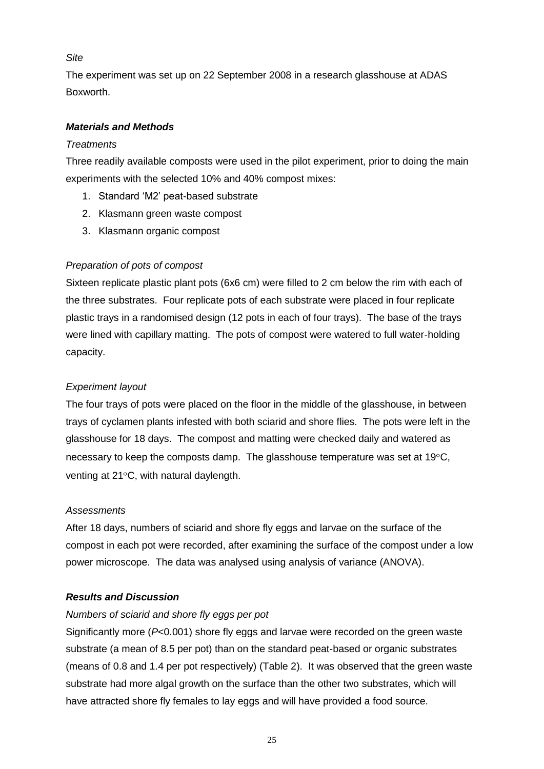## *Site*

The experiment was set up on 22 September 2008 in a research glasshouse at ADAS Boxworth.

## *Materials and Methods*

## *Treatments*

Three readily available composts were used in the pilot experiment, prior to doing the main experiments with the selected 10% and 40% compost mixes:

- 1. Standard 'M2' peat-based substrate
- 2. Klasmann green waste compost
- 3. Klasmann organic compost

## *Preparation of pots of compost*

Sixteen replicate plastic plant pots (6x6 cm) were filled to 2 cm below the rim with each of the three substrates. Four replicate pots of each substrate were placed in four replicate plastic trays in a randomised design (12 pots in each of four trays). The base of the trays were lined with capillary matting. The pots of compost were watered to full water-holding capacity.

## *Experiment layout*

The four trays of pots were placed on the floor in the middle of the glasshouse, in between trays of cyclamen plants infested with both sciarid and shore flies. The pots were left in the glasshouse for 18 days. The compost and matting were checked daily and watered as necessary to keep the composts damp. The glasshouse temperature was set at  $19^{\circ}$ C, venting at  $21^{\circ}$ C, with natural daylength.

## *Assessments*

After 18 days, numbers of sciarid and shore fly eggs and larvae on the surface of the compost in each pot were recorded, after examining the surface of the compost under a low power microscope. The data was analysed using analysis of variance (ANOVA).

## *Results and Discussion*

## *Numbers of sciarid and shore fly eggs per pot*

Significantly more (*P*<0.001) shore fly eggs and larvae were recorded on the green waste substrate (a mean of 8.5 per pot) than on the standard peat-based or organic substrates (means of 0.8 and 1.4 per pot respectively) (Table 2). It was observed that the green waste substrate had more algal growth on the surface than the other two substrates, which will have attracted shore fly females to lay eggs and will have provided a food source.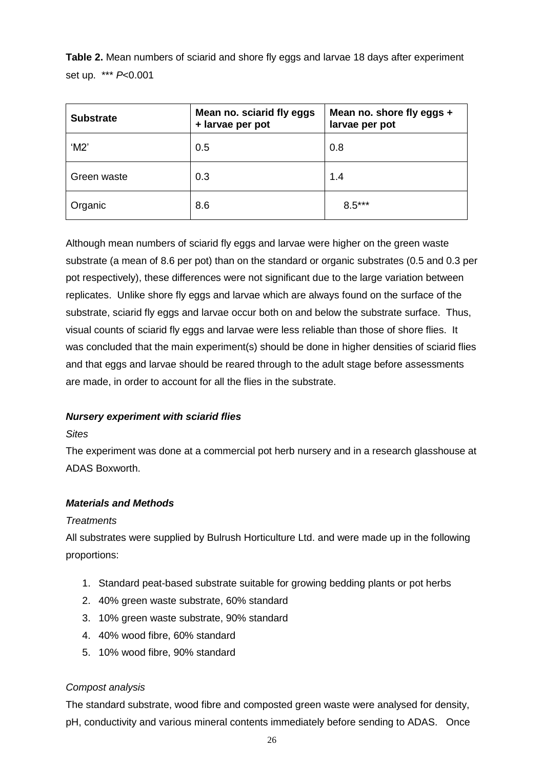**Table 2.** Mean numbers of sciarid and shore fly eggs and larvae 18 days after experiment set up. \*\*\* *P*<0.001

| <b>Substrate</b> | Mean no. sciarid fly eggs<br>+ larvae per pot | Mean no. shore fly eggs +<br>larvae per pot |
|------------------|-----------------------------------------------|---------------------------------------------|
| $^{\circ}$ M2'   | 0.5                                           | 0.8                                         |
| Green waste      | 0.3                                           | 1.4                                         |
| Organic          | 8.6                                           | $8.5***$                                    |

Although mean numbers of sciarid fly eggs and larvae were higher on the green waste substrate (a mean of 8.6 per pot) than on the standard or organic substrates (0.5 and 0.3 per pot respectively), these differences were not significant due to the large variation between replicates. Unlike shore fly eggs and larvae which are always found on the surface of the substrate, sciarid fly eggs and larvae occur both on and below the substrate surface. Thus, visual counts of sciarid fly eggs and larvae were less reliable than those of shore flies. It was concluded that the main experiment(s) should be done in higher densities of sciarid flies and that eggs and larvae should be reared through to the adult stage before assessments are made, in order to account for all the flies in the substrate.

## *Nursery experiment with sciarid flies*

#### *Sites*

The experiment was done at a commercial pot herb nursery and in a research glasshouse at ADAS Boxworth.

## *Materials and Methods*

#### *Treatments*

All substrates were supplied by Bulrush Horticulture Ltd. and were made up in the following proportions:

- 1. Standard peat-based substrate suitable for growing bedding plants or pot herbs
- 2. 40% green waste substrate, 60% standard
- 3. 10% green waste substrate, 90% standard
- 4. 40% wood fibre, 60% standard
- 5. 10% wood fibre, 90% standard

#### *Compost analysis*

The standard substrate, wood fibre and composted green waste were analysed for density, pH, conductivity and various mineral contents immediately before sending to ADAS. Once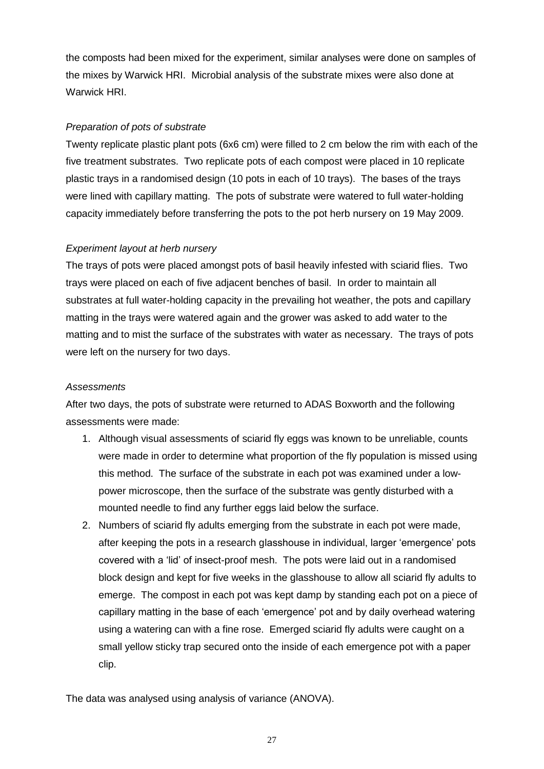the composts had been mixed for the experiment, similar analyses were done on samples of the mixes by Warwick HRI. Microbial analysis of the substrate mixes were also done at Warwick HRI.

## *Preparation of pots of substrate*

Twenty replicate plastic plant pots (6x6 cm) were filled to 2 cm below the rim with each of the five treatment substrates. Two replicate pots of each compost were placed in 10 replicate plastic trays in a randomised design (10 pots in each of 10 trays). The bases of the trays were lined with capillary matting. The pots of substrate were watered to full water-holding capacity immediately before transferring the pots to the pot herb nursery on 19 May 2009.

## *Experiment layout at herb nursery*

The trays of pots were placed amongst pots of basil heavily infested with sciarid flies. Two trays were placed on each of five adjacent benches of basil. In order to maintain all substrates at full water-holding capacity in the prevailing hot weather, the pots and capillary matting in the trays were watered again and the grower was asked to add water to the matting and to mist the surface of the substrates with water as necessary. The trays of pots were left on the nursery for two days.

## *Assessments*

After two days, the pots of substrate were returned to ADAS Boxworth and the following assessments were made:

- 1. Although visual assessments of sciarid fly eggs was known to be unreliable, counts were made in order to determine what proportion of the fly population is missed using this method. The surface of the substrate in each pot was examined under a lowpower microscope, then the surface of the substrate was gently disturbed with a mounted needle to find any further eggs laid below the surface.
- 2. Numbers of sciarid fly adults emerging from the substrate in each pot were made, after keeping the pots in a research glasshouse in individual, larger 'emergence' pots covered with a 'lid' of insect-proof mesh. The pots were laid out in a randomised block design and kept for five weeks in the glasshouse to allow all sciarid fly adults to emerge. The compost in each pot was kept damp by standing each pot on a piece of capillary matting in the base of each 'emergence' pot and by daily overhead watering using a watering can with a fine rose. Emerged sciarid fly adults were caught on a small yellow sticky trap secured onto the inside of each emergence pot with a paper clip.

The data was analysed using analysis of variance (ANOVA).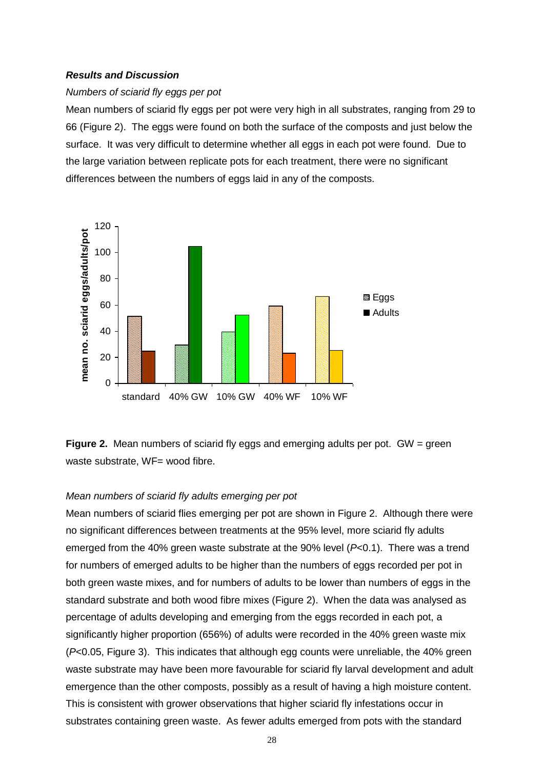#### *Results and Discussion*

#### *Numbers of sciarid fly eggs per pot*

Mean numbers of sciarid fly eggs per pot were very high in all substrates, ranging from 29 to 66 (Figure 2). The eggs were found on both the surface of the composts and just below the surface. It was very difficult to determine whether all eggs in each pot were found. Due to the large variation between replicate pots for each treatment, there were no significant differences between the numbers of eggs laid in any of the composts.



**Figure 2.** Mean numbers of sciarid fly eggs and emerging adults per pot. GW = green waste substrate, WF= wood fibre.

#### *Mean numbers of sciarid fly adults emerging per pot*

Mean numbers of sciarid flies emerging per pot are shown in Figure 2. Although there were no significant differences between treatments at the 95% level, more sciarid fly adults emerged from the 40% green waste substrate at the 90% level (*P*<0.1). There was a trend for numbers of emerged adults to be higher than the numbers of eggs recorded per pot in both green waste mixes, and for numbers of adults to be lower than numbers of eggs in the standard substrate and both wood fibre mixes (Figure 2). When the data was analysed as percentage of adults developing and emerging from the eggs recorded in each pot, a significantly higher proportion (656%) of adults were recorded in the 40% green waste mix (*P*<0.05, Figure 3). This indicates that although egg counts were unreliable, the 40% green waste substrate may have been more favourable for sciarid fly larval development and adult emergence than the other composts, possibly as a result of having a high moisture content. This is consistent with grower observations that higher sciarid fly infestations occur in substrates containing green waste. As fewer adults emerged from pots with the standard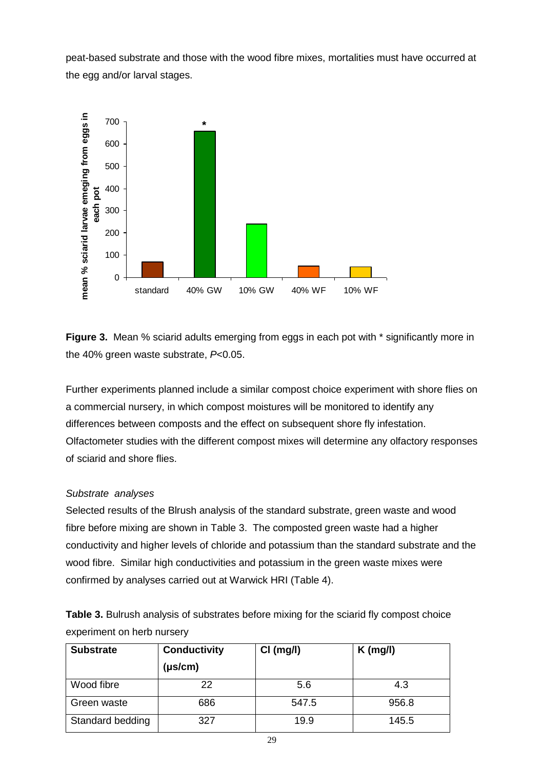peat-based substrate and those with the wood fibre mixes, mortalities must have occurred at the egg and/or larval stages.



**Figure 3.** Mean % sciarid adults emerging from eggs in each pot with  $*$  significantly more in the 40% green waste substrate, *P*<0.05.

Further experiments planned include a similar compost choice experiment with shore flies on a commercial nursery, in which compost moistures will be monitored to identify any differences between composts and the effect on subsequent shore fly infestation. Olfactometer studies with the different compost mixes will determine any olfactory responses of sciarid and shore flies.

## *Substrate analyses*

Selected results of the Blrush analysis of the standard substrate, green waste and wood fibre before mixing are shown in Table 3. The composted green waste had a higher conductivity and higher levels of chloride and potassium than the standard substrate and the wood fibre. Similar high conductivities and potassium in the green waste mixes were confirmed by analyses carried out at Warwick HRI (Table 4).

**Table 3.** Bulrush analysis of substrates before mixing for the sciarid fly compost choice experiment on herb nursery

| <b>Substrate</b> | <b>Conductivity</b><br>$(\mu s/cm)$ | Cl (mg/l) | $K$ (mg/l) |
|------------------|-------------------------------------|-----------|------------|
| Wood fibre       | 22                                  | 5.6       | 4.3        |
| Green waste      | 686                                 | 547.5     | 956.8      |
| Standard bedding | 327                                 | 19.9      | 145.5      |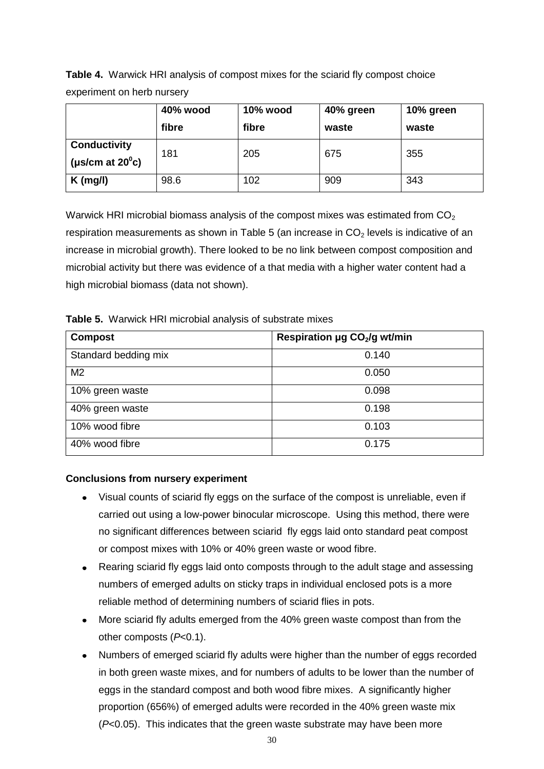**Table 4.** Warwick HRI analysis of compost mixes for the sciarid fly compost choice experiment on herb nursery

|                                                  | 40% wood<br>fibre | 10% wood<br>fibre | 40% green<br>waste | 10% green<br>waste |
|--------------------------------------------------|-------------------|-------------------|--------------------|--------------------|
| <b>Conductivity</b><br>(µs/cm at $20^{\circ}$ c) | 181               | 205               | 675                | 355                |
| $K$ (mg/l)                                       | 98.6              | 102               | 909                | 343                |

Warwick HRI microbial biomass analysis of the compost mixes was estimated from  $CO<sub>2</sub>$ respiration measurements as shown in Table 5 (an increase in  $CO<sub>2</sub>$  levels is indicative of an increase in microbial growth). There looked to be no link between compost composition and microbial activity but there was evidence of a that media with a higher water content had a high microbial biomass (data not shown).

**Table 5.** Warwick HRI microbial analysis of substrate mixes

| <b>Compost</b>       | Respiration µg CO <sub>2</sub> /g wt/min |
|----------------------|------------------------------------------|
| Standard bedding mix | 0.140                                    |
| M <sub>2</sub>       | 0.050                                    |
| 10% green waste      | 0.098                                    |
| 40% green waste      | 0.198                                    |
| 10% wood fibre       | 0.103                                    |
| 40% wood fibre       | 0.175                                    |

## **Conclusions from nursery experiment**

- Visual counts of sciarid fly eggs on the surface of the compost is unreliable, even if carried out using a low-power binocular microscope. Using this method, there were no significant differences between sciarid fly eggs laid onto standard peat compost or compost mixes with 10% or 40% green waste or wood fibre.
- Rearing sciarid fly eggs laid onto composts through to the adult stage and assessing  $\bullet$ numbers of emerged adults on sticky traps in individual enclosed pots is a more reliable method of determining numbers of sciarid flies in pots.
- More sciarid fly adults emerged from the 40% green waste compost than from the  $\bullet$ other composts (*P*<0.1).
- Numbers of emerged sciarid fly adults were higher than the number of eggs recorded  $\bullet$ in both green waste mixes, and for numbers of adults to be lower than the number of eggs in the standard compost and both wood fibre mixes. A significantly higher proportion (656%) of emerged adults were recorded in the 40% green waste mix (*P*<0.05). This indicates that the green waste substrate may have been more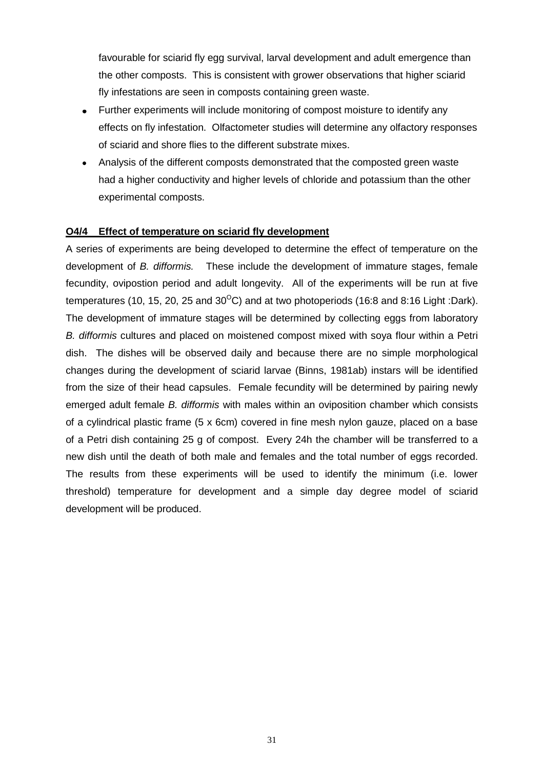favourable for sciarid fly egg survival, larval development and adult emergence than the other composts. This is consistent with grower observations that higher sciarid fly infestations are seen in composts containing green waste.

- Further experiments will include monitoring of compost moisture to identify any  $\bullet$ effects on fly infestation. Olfactometer studies will determine any olfactory responses of sciarid and shore flies to the different substrate mixes.
- $\bullet$ Analysis of the different composts demonstrated that the composted green waste had a higher conductivity and higher levels of chloride and potassium than the other experimental composts.

#### **O4/4 Effect of temperature on sciarid fly development**

A series of experiments are being developed to determine the effect of temperature on the development of *B. difformis.* These include the development of immature stages, female fecundity, ovipostion period and adult longevity. All of the experiments will be run at five temperatures (10, 15, 20, 25 and 30 $^{\circ}$ C) and at two photoperiods (16:8 and 8:16 Light :Dark). The development of immature stages will be determined by collecting eggs from laboratory *B. difformis* cultures and placed on moistened compost mixed with soya flour within a Petri dish. The dishes will be observed daily and because there are no simple morphological changes during the development of sciarid larvae (Binns, 1981ab) instars will be identified from the size of their head capsules. Female fecundity will be determined by pairing newly emerged adult female *B. difformis* with males within an oviposition chamber which consists of a cylindrical plastic frame (5 x 6cm) covered in fine mesh nylon gauze, placed on a base of a Petri dish containing 25 g of compost. Every 24h the chamber will be transferred to a new dish until the death of both male and females and the total number of eggs recorded. The results from these experiments will be used to identify the minimum (i.e. lower threshold) temperature for development and a simple day degree model of sciarid development will be produced.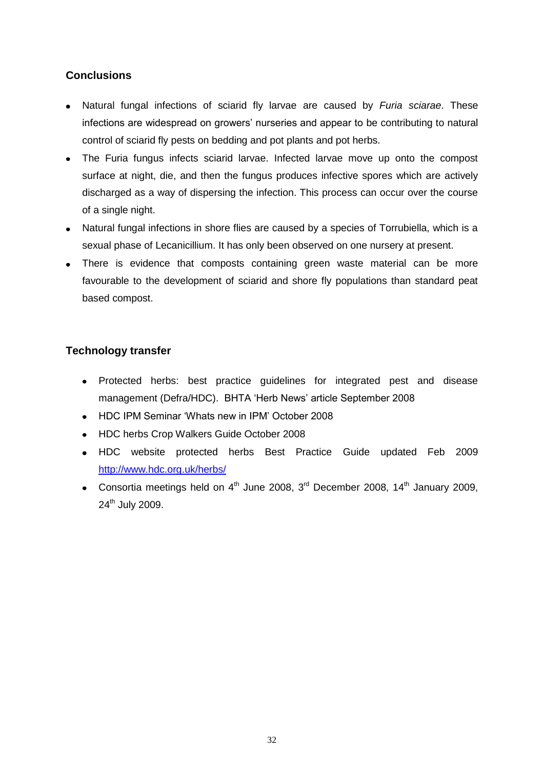## **Conclusions**

- Natural fungal infections of sciarid fly larvae are caused by *Furia sciarae*. These infections are widespread on growers' nurseries and appear to be contributing to natural control of sciarid fly pests on bedding and pot plants and pot herbs.
- The Furia fungus infects sciarid larvae. Infected larvae move up onto the compost surface at night, die, and then the fungus produces infective spores which are actively discharged as a way of dispersing the infection. This process can occur over the course of a single night.
- Natural fungal infections in shore flies are caused by a species of Torrubiella, which is a sexual phase of Lecanicillium. It has only been observed on one nursery at present.
- There is evidence that composts containing green waste material can be more favourable to the development of sciarid and shore fly populations than standard peat based compost.

## **Technology transfer**

- Protected herbs: best practice guidelines for integrated pest and disease management (Defra/HDC). BHTA 'Herb News' article September 2008
- HDC IPM Seminar 'Whats new in IPM' October 2008
- HDC herbs Crop Walkers Guide October 2008
- HDC website protected herbs Best Practice Guide updated Feb 2009 http://www.hdc.org.uk/herbs/
- Consortia meetings held on  $4<sup>th</sup>$  June 2008,  $3<sup>rd</sup>$  December 2008, 14<sup>th</sup> January 2009, 24<sup>th</sup> July 2009.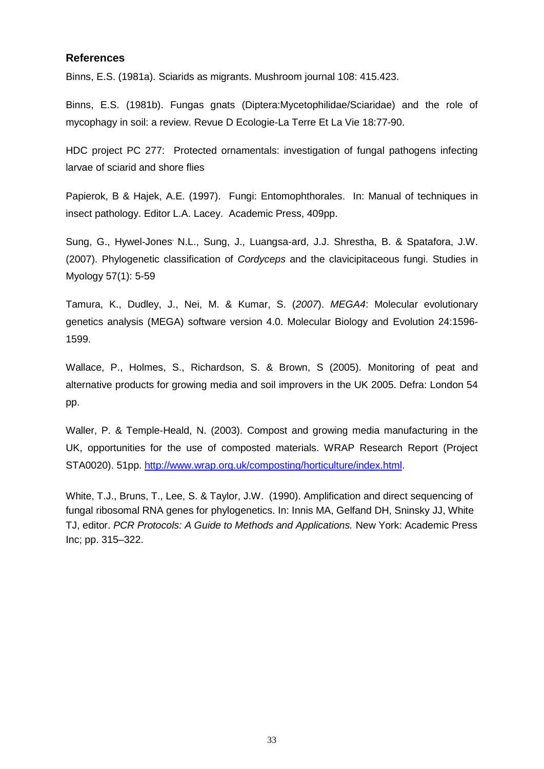#### **References**

Binns, E.S. (1981a). Sciarids as migrants. Mushroom journal 108: 415.423.

Binns, E.S. (1981b). Fungas gnats (Diptera:Mycetophilidae/Sciaridae) and the role of mycophagy in soil: a review. Revue D Ecologie-La Terre Et La Vie 18:77-90.

HDC project PC 277: Protected ornamentals: investigation of fungal pathogens infecting larvae of sciarid and shore flies

Papierok, B & Hajek, A.E. (1997). Fungi: Entomophthorales. In: Manual of techniques in insect pathology. Editor L.A. Lacey. Academic Press, 409pp.

Sung, G., Hywel-Jones<sup>,</sup> N.L., Sung, J., Luangsa-ard, J.J. Shrestha, B. & Spatafora, J.W. (2007). Phylogenetic classification of *Cordyceps* and the clavicipitaceous fungi. Studies in Myology 57(1): 5-59

Tamura, K., Dudley, J., Nei, M. & Kumar, S. (*2007*). *MEGA4*: Molecular evolutionary genetics analysis (MEGA) software version 4.0. Molecular Biology and Evolution 24:1596- 1599.

Wallace, P., Holmes, S., Richardson, S. & Brown, S (2005). Monitoring of peat and alternative products for growing media and soil improvers in the UK 2005. Defra: London 54 pp.

Waller, P. & Temple-Heald, N. (2003). Compost and growing media manufacturing in the UK, opportunities for the use of composted materials. WRAP Research Report (Project STA0020). 51pp. [http://www.wrap.org.uk/composting/horticulture/index.html.](http://www.wrap.org.uk/composting/horticulture/index.html)

White, T.J., Bruns, T., Lee, S. & Taylor, J.W. (1990). Amplification and direct sequencing of fungal ribosomal RNA genes for phylogenetics. In: Innis MA, Gelfand DH, Sninsky JJ, White TJ, editor. *PCR Protocols: A Guide to Methods and Applications.* New York: Academic Press Inc; pp. 315–322.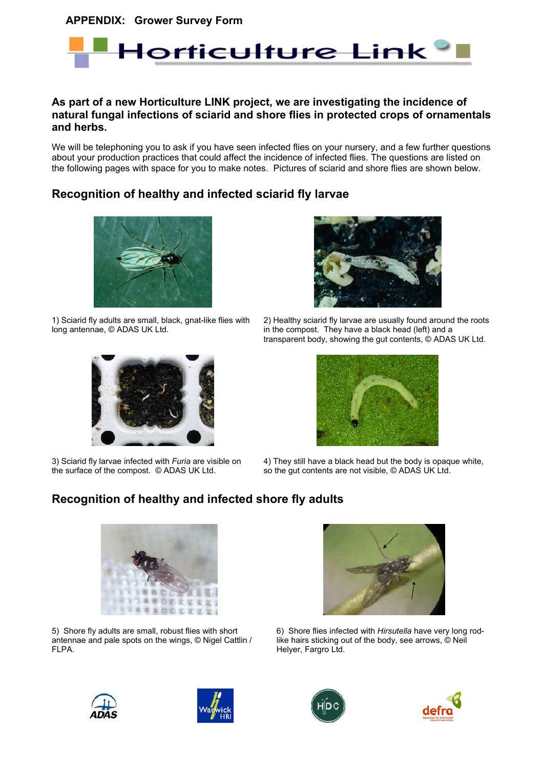**APPENDIX: Grower Survey Form**



#### **As part of a new Horticulture LINK project, we are investigating the incidence of natural fungal infections of sciarid and shore flies in protected crops of ornamentals and herbs.**

We will be telephoning you to ask if you have seen infected flies on your nursery, and a few further questions about your production practices that could affect the incidence of infected flies. The questions are listed on the following pages with space for you to make notes. Pictures of sciarid and shore flies are shown below.

## **Recognition of healthy and infected sciarid fly larvae**



1) Sciarid fly adults are small, black, gnat-like flies with long antennae, © ADAS UK Ltd.



2) Healthy sciarid fly larvae are usually found around the roots in the compost. They have a black head (left) and a transparent body, showing the gut contents, © ADAS UK Ltd.



3) Sciarid fly larvae infected with *Furia* are visible on the surface of the compost. © ADAS UK Ltd.



4) They still have a black head but the body is opaque white, so the gut contents are not visible, © ADAS UK Ltd.

## **Recognition of healthy and infected shore fly adults**



5) Shore fly adults are small, robust flies with short antennae and pale spots on the wings, © Nigel Cattlin / FLPA.



6) Shore flies infected with *Hirsutella* have very long rodlike hairs sticking out of the body, see arrows, © Neil Helyer, Fargro Ltd.







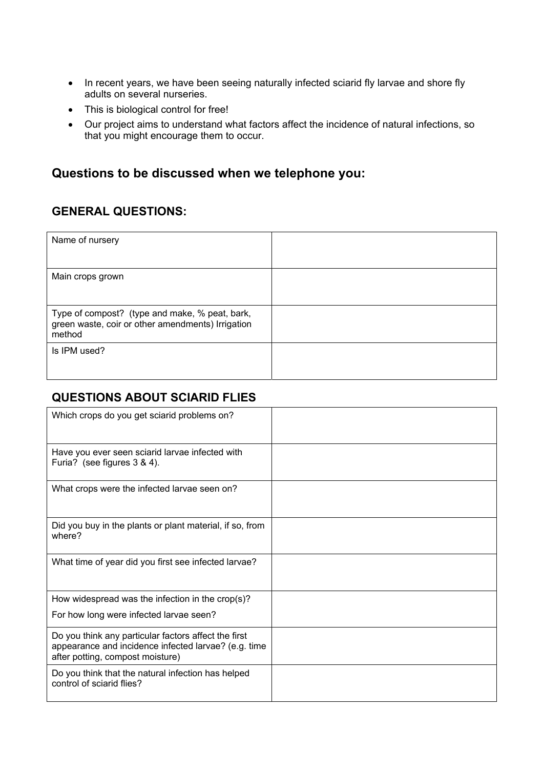- In recent years, we have been seeing naturally infected sciarid fly larvae and shore fly adults on several nurseries.
- This is biological control for free!
- Our project aims to understand what factors affect the incidence of natural infections, so that you might encourage them to occur.

# **Questions to be discussed when we telephone you:**

## **GENERAL QUESTIONS:**

| Name of nursery                                                                                               |  |
|---------------------------------------------------------------------------------------------------------------|--|
| Main crops grown                                                                                              |  |
| Type of compost? (type and make, % peat, bark,<br>green waste, coir or other amendments) Irrigation<br>method |  |
| Is IPM used?                                                                                                  |  |

# **QUESTIONS ABOUT SCIARID FLIES**

| Which crops do you get sciarid problems on?                                                                                                      |  |
|--------------------------------------------------------------------------------------------------------------------------------------------------|--|
| Have you ever seen sciarid larvae infected with<br>Furia? (see figures 3 & 4).                                                                   |  |
| What crops were the infected larvae seen on?                                                                                                     |  |
| Did you buy in the plants or plant material, if so, from<br>where?                                                                               |  |
| What time of year did you first see infected larvae?                                                                                             |  |
| How widespread was the infection in the $\text{crop}(s)$ ?                                                                                       |  |
| For how long were infected larvae seen?                                                                                                          |  |
| Do you think any particular factors affect the first<br>appearance and incidence infected larvae? (e.g. time<br>after potting, compost moisture) |  |
| Do you think that the natural infection has helped<br>control of sciarid flies?                                                                  |  |